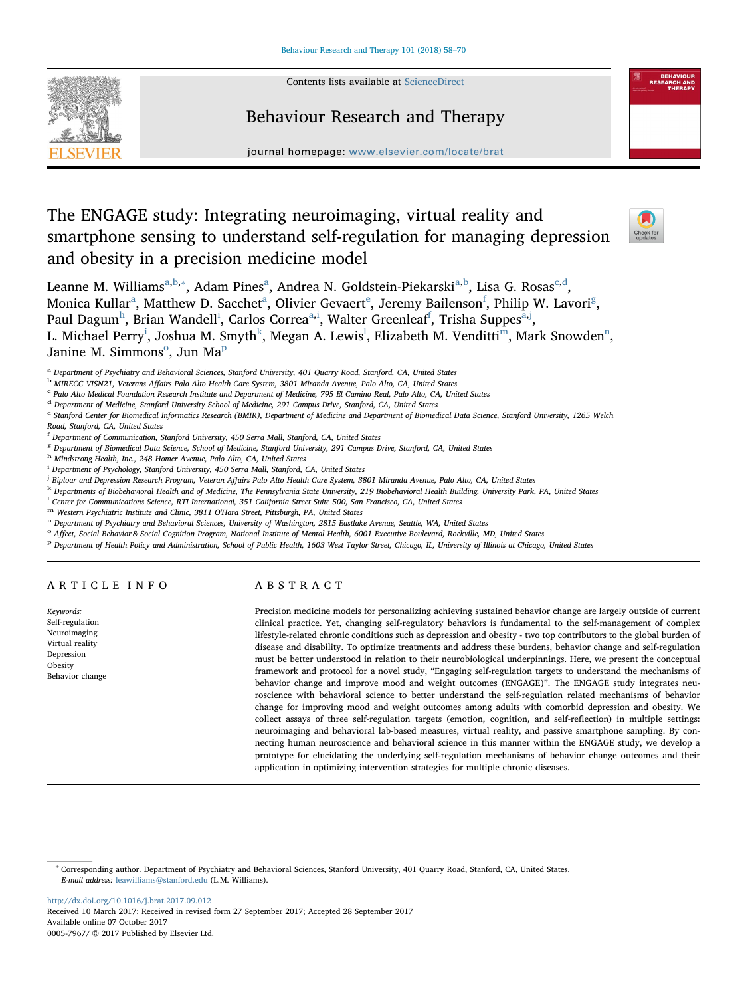

Contents lists available at [ScienceDirect](http://www.sciencedirect.com/science/journal/00057967)

# Behaviour Research and Therapy



# The ENGAGE study: Integrating neuroimaging, virtual reality and smartphone sensing to understand self-regulation for managing depression and obesity in a precision medicine model



Le[a](#page-0-0)nne M. Williams<sup>a[,b,](#page-0-1)[∗](#page-0-2)</sup>, Adam Pines<sup>a</sup>, Andrea N. Goldstein-Piekarski<sup>[a,](#page-0-0)[b](#page-0-1)</sup>, Lisa G. Rosas<sup>[c](#page-0-3),[d](#page-0-4)</sup>, Monic[a](#page-0-0) Kullar<sup>a</sup>, Matth[e](#page-0-5)w D. Sacchet<sup>a</sup>, Olivier Gevaert<sup>e</sup>, Jeremy Bailenson<sup>[f](#page-0-6)</sup>, Philip W. Lavori<sup>[g](#page-0-7)</sup>, Paul Dagum<sup>[h](#page-0-8)</sup>, Br[i](#page-0-9)[a](#page-0-0)n Wandell<sup>i</sup>, Carlos Correa<sup>a[,i](#page-0-9)</sup>, Walter Greenlea[f](#page-0-6)<sup>f</sup>, Trisha Suppes<sup>a,[j](#page-0-10)</sup>, L. M[i](#page-0-9)chael Perry<sup>i</sup>, Joshua M. Smyth<sup>[k](#page-0-11)</sup>, Megan A. Lewis<sup>[l](#page-0-12)</sup>, Elizabeth M. Venditti<sup>m</sup>, Mark Snowden<sup>n</sup>, Janine M. Simm[o](#page-0-15)ns<su[p](#page-0-16)>o</sup>, Jun Ma<sup>p</sup>

<span id="page-0-0"></span><sup>a</sup> Department of Psychiatry and Behavioral Sciences, Stanford University, 401 Quarry Road, Stanford, CA, United States<br><sup>b</sup> MIRECC VISN21, Veterans Affairs Palo Alto Health Care System, 3801 Miranda Avenue, Palo Alto, CA,

<span id="page-0-1"></span>

<span id="page-0-3"></span><sup>c</sup> Palo Alto Medical Foundation Research Institute and Department of Medicine, 795 El Camino Real, Palo Alto, CA, United States

<span id="page-0-4"></span><sup>d</sup> Department of Medicine, Stanford University School of Medicine, 291 Campus Drive, Stanford, CA, United States

<span id="page-0-5"></span><sup>e</sup> Stanford Center for Biomedical Informatics Research (BMIR), Department of Medicine and Department of Biomedical Data Science, Stanford University, 1265 Welch Road, Stanford, CA, United States

<span id="page-0-6"></span><sup>f</sup> Department of Communication, Stanford University, 450 Serra Mall, Stanford, CA, United States

<span id="page-0-7"></span><sup>g</sup> Department of Biomedical Data Science, School of Medicine, Stanford University, 291 Campus Drive, Stanford, CA, United States

<span id="page-0-8"></span>h Mindstrong Health, Inc., 248 Homer Avenue, Palo Alto, CA, United States

<span id="page-0-9"></span><sup>i</sup> Department of Psychology, Stanford University, 450 Serra Mall, Stanford, CA, United States

<span id="page-0-10"></span><sup>j</sup> Biploar and Depression Research Program, Veteran Affairs Palo Alto Health Care System, 3801 Miranda Avenue, Palo Alto, CA, United States

<span id="page-0-11"></span>k Departments of Biobehavioral Health and of Medicine, The Pennsylvania State University, 219 Biobehavioral Health Building, University Park, PA, United States

<span id="page-0-12"></span>l Center for Communications Science, RTI International, 351 California Street Suite 500, San Francisco, CA, United States

<span id="page-0-14"></span>

- <span id="page-0-16"></span><span id="page-0-15"></span>
- <span id="page-0-13"></span>m Western Psychiatric Institute and Clinic, 3811 O'Hara Street, Pittsburgh, PA, United States<br>n Department of Psychiatry and Behavioral Sciences, University of Washington, 2815 Eastlake Avenue, Seattle, WA, United States<br>o

# ARTICLE INFO

Keywords: Self-regulation Neuroimaging Virtual reality Depression Obesity Behavior change

# ABSTRACT

Precision medicine models for personalizing achieving sustained behavior change are largely outside of current clinical practice. Yet, changing self-regulatory behaviors is fundamental to the self-management of complex lifestyle-related chronic conditions such as depression and obesity - two top contributors to the global burden of disease and disability. To optimize treatments and address these burdens, behavior change and self-regulation must be better understood in relation to their neurobiological underpinnings. Here, we present the conceptual framework and protocol for a novel study, "Engaging self-regulation targets to understand the mechanisms of behavior change and improve mood and weight outcomes (ENGAGE)". The ENGAGE study integrates neuroscience with behavioral science to better understand the self-regulation related mechanisms of behavior change for improving mood and weight outcomes among adults with comorbid depression and obesity. We collect assays of three self-regulation targets (emotion, cognition, and self-reflection) in multiple settings: neuroimaging and behavioral lab-based measures, virtual reality, and passive smartphone sampling. By connecting human neuroscience and behavioral science in this manner within the ENGAGE study, we develop a prototype for elucidating the underlying self-regulation mechanisms of behavior change outcomes and their application in optimizing intervention strategies for multiple chronic diseases.

<span id="page-0-2"></span><sup>∗</sup> Corresponding author. Department of Psychiatry and Behavioral Sciences, Stanford University, 401 Quarry Road, Stanford, CA, United States. E-mail address: [leawilliams@stanford.edu](mailto:leawilliams@stanford.edu) (L.M. Williams).

<http://dx.doi.org/10.1016/j.brat.2017.09.012>

Received 10 March 2017; Received in revised form 27 September 2017; Accepted 28 September 2017 Available online 07 October 2017 0005-7967/ © 2017 Published by Elsevier Ltd.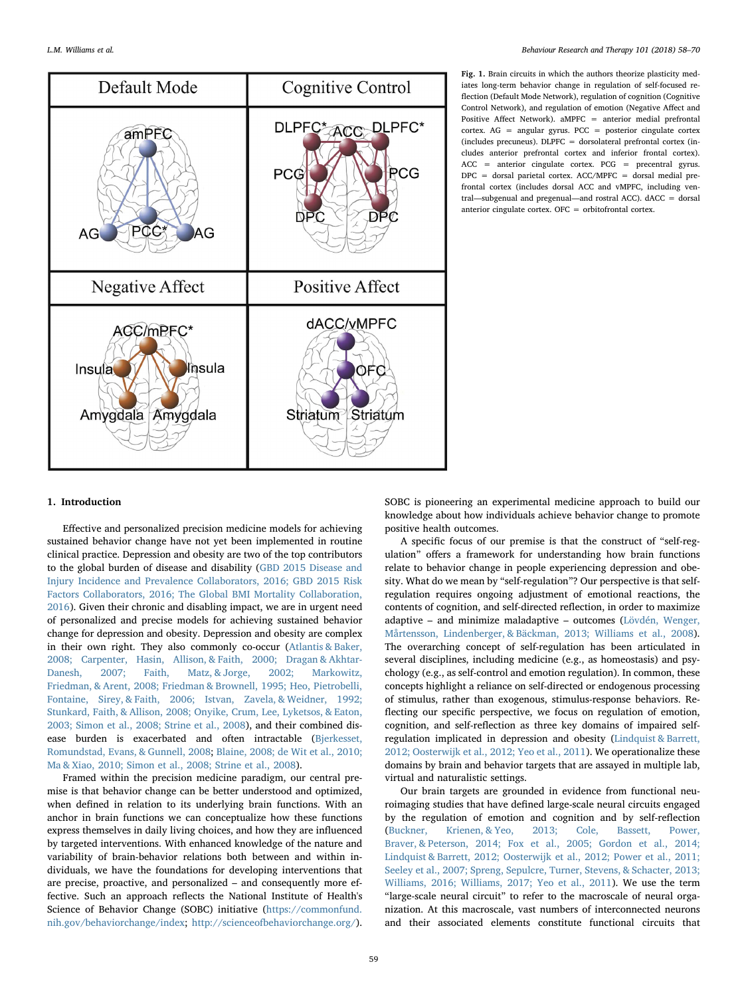<span id="page-1-0"></span>

Fig. 1. Brain circuits in which the authors theorize plasticity mediates long-term behavior change in regulation of self-focused reflection (Default Mode Network), regulation of cognition (Cognitive Control Network), and regulation of emotion (Negative Affect and Positive Affect Network). aMPFC = anterior medial prefrontal cortex.  $AG = angular gyrus. PCC = posterior cingulate cortex$ (includes precuneus). DLPFC = dorsolateral prefrontal cortex (includes anterior prefrontal cortex and inferior frontal cortex). ACC = anterior cingulate cortex. PCG = precentral gyrus. DPC = dorsal parietal cortex. ACC/MPFC = dorsal medial prefrontal cortex (includes dorsal ACC and vMPFC, including ventral—subgenual and pregenual—and rostral ACC). dACC = dorsal anterior cingulate cortex. OFC = orbitofrontal cortex.

#### 1. Introduction

Effective and personalized precision medicine models for achieving sustained behavior change have not yet been implemented in routine clinical practice. Depression and obesity are two of the top contributors to the global burden of disease and disability ([GBD 2015 Disease and](#page-11-0) [Injury Incidence and Prevalence Collaborators, 2016; GBD 2015 Risk](#page-11-0) [Factors Collaborators, 2016; The Global BMI Mortality Collaboration,](#page-11-0) [2016\)](#page-11-0). Given their chronic and disabling impact, we are in urgent need of personalized and precise models for achieving sustained behavior change for depression and obesity. Depression and obesity are complex in their own right. They also commonly co-occur [\(Atlantis & Baker,](#page-11-1) [2008; Carpenter, Hasin, Allison, & Faith, 2000; Dragan & Akhtar-](#page-11-1)[Danesh, 2007; Faith, Matz, & Jorge, 2002; Markowitz,](#page-11-1) [Friedman, & Arent, 2008; Friedman & Brownell, 1995; Heo, Pietrobelli,](#page-11-1) [Fontaine, Sirey, & Faith, 2006; Istvan, Zavela, & Weidner, 1992;](#page-11-1) [Stunkard, Faith, & Allison, 2008; Onyike, Crum, Lee, Lyketsos, & Eaton,](#page-11-1) [2003; Simon et al., 2008; Strine et al., 2008\)](#page-11-1), and their combined disease burden is exacerbated and often intractable [\(Bjerkesset,](#page-11-2) [Romundstad, Evans, & Gunnell, 2008;](#page-11-2) [Blaine, 2008; de Wit et al., 2010;](#page-11-3) [Ma & Xiao, 2010; Simon et al., 2008; Strine et al., 2008\)](#page-11-3).

Framed within the precision medicine paradigm, our central premise is that behavior change can be better understood and optimized, when defined in relation to its underlying brain functions. With an anchor in brain functions we can conceptualize how these functions express themselves in daily living choices, and how they are influenced by targeted interventions. With enhanced knowledge of the nature and variability of brain-behavior relations both between and within individuals, we have the foundations for developing interventions that are precise, proactive, and personalized – and consequently more effective. Such an approach reflects the National Institute of Health's Science of Behavior Change (SOBC) initiative [\(https://commonfund.](https://commonfund.nih.gov/behaviorchange/index) [nih.gov/behaviorchange/index](https://commonfund.nih.gov/behaviorchange/index); <http://scienceofbehaviorchange.org/>).

SOBC is pioneering an experimental medicine approach to build our knowledge about how individuals achieve behavior change to promote positive health outcomes.

A specific focus of our premise is that the construct of "self-regulation" offers a framework for understanding how brain functions relate to behavior change in people experiencing depression and obesity. What do we mean by "self-regulation"? Our perspective is that selfregulation requires ongoing adjustment of emotional reactions, the contents of cognition, and self-directed reflection, in order to maximize adaptive – and minimize maladaptive – outcomes ([Lövdén, Wenger,](#page-11-4) [Mårtensson, Lindenberger, & Bäckman, 2013; Williams et al., 2008](#page-11-4)). The overarching concept of self-regulation has been articulated in several disciplines, including medicine (e.g., as homeostasis) and psychology (e.g., as self-control and emotion regulation). In common, these concepts highlight a reliance on self-directed or endogenous processing of stimulus, rather than exogenous, stimulus-response behaviors. Reflecting our specific perspective, we focus on regulation of emotion, cognition, and self-reflection as three key domains of impaired selfregulation implicated in depression and obesity [\(Lindquist & Barrett,](#page-11-5) [2012; Oosterwijk et al., 2012; Yeo et al., 2011\)](#page-11-5). We operationalize these domains by brain and behavior targets that are assayed in multiple lab, virtual and naturalistic settings.

Our brain targets are grounded in evidence from functional neuroimaging studies that have defined large-scale neural circuits engaged by the regulation of emotion and cognition and by self-reflection ([Buckner, Krienen, & Yeo, 2013; Cole, Bassett, Power,](#page-11-6) [Braver, & Peterson, 2014; Fox et al., 2005; Gordon et al., 2014;](#page-11-6) [Lindquist & Barrett, 2012; Oosterwijk et al., 2012; Power et al., 2011;](#page-11-6) [Seeley et al., 2007; Spreng, Sepulcre, Turner, Stevens, & Schacter, 2013;](#page-11-6) [Williams, 2016; Williams, 2017; Yeo et al., 2011](#page-11-6)). We use the term "large-scale neural circuit" to refer to the macroscale of neural organization. At this macroscale, vast numbers of interconnected neurons and their associated elements constitute functional circuits that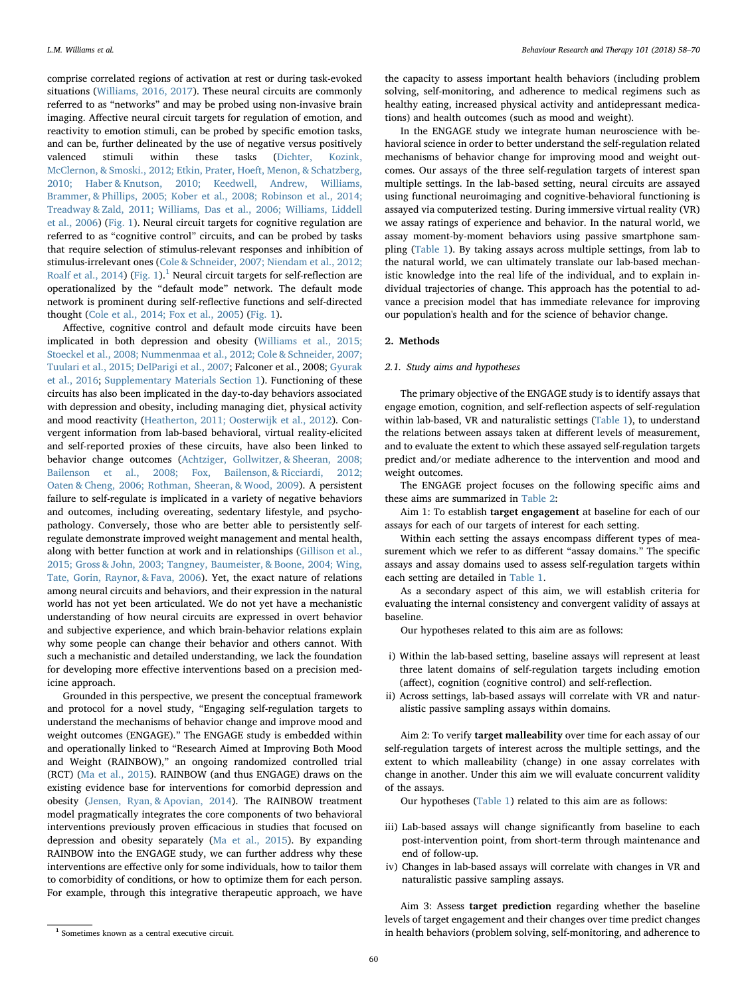comprise correlated regions of activation at rest or during task-evoked situations [\(Williams, 2016, 2017\)](#page-12-0). These neural circuits are commonly referred to as "networks" and may be probed using non-invasive brain imaging. Affective neural circuit targets for regulation of emotion, and reactivity to emotion stimuli, can be probed by specific emotion tasks, and can be, further delineated by the use of negative versus positively valenced stimuli within these tasks ([Dichter, Kozink,](#page-11-7) [McClernon, & Smoski., 2012; Etkin, Prater, Hoeft, Menon, & Schatzberg,](#page-11-7) [2010; Haber & Knutson, 2010; Keedwell, Andrew, Williams,](#page-11-7) [Brammer, & Phillips, 2005; Kober et al., 2008; Robinson et al., 2014;](#page-11-7) [Treadway & Zald, 2011; Williams, Das et al., 2006; Williams, Liddell](#page-11-7) [et al., 2006\)](#page-11-7) [\(Fig. 1](#page-1-0)). Neural circuit targets for cognitive regulation are referred to as "cognitive control" circuits, and can be probed by tasks that require selection of stimulus-relevant responses and inhibition of stimulus-irrelevant ones [\(Cole & Schneider, 2007; Niendam et al., 2012;](#page-11-8) [Roalf et al., 2014](#page-11-8)) ([Fig. 1\)](#page-1-0).<sup>[1](#page-2-0)</sup> Neural circuit targets for self-reflection are operationalized by the "default mode" network. The default mode network is prominent during self-reflective functions and self-directed thought ([Cole et al., 2014; Fox et al., 2005\)](#page-11-9) ([Fig. 1\)](#page-1-0).

Affective, cognitive control and default mode circuits have been implicated in both depression and obesity ([Williams et al., 2015;](#page-12-1) [Stoeckel et al., 2008; Nummenmaa et al., 2012; Cole & Schneider, 2007;](#page-12-1) [Tuulari et al., 2015; DelParigi et al., 2007;](#page-12-1) Falconer et al., 2008; [Gyurak](#page-11-10) [et al., 2016;](#page-11-10) Supplementary Materials Section 1). Functioning of these circuits has also been implicated in the day-to-day behaviors associated with depression and obesity, including managing diet, physical activity and mood reactivity [\(Heatherton, 2011; Oosterwijk et al., 2012](#page-11-11)). Convergent information from lab-based behavioral, virtual reality-elicited and self-reported proxies of these circuits, have also been linked to behavior change outcomes ([Achtziger, Gollwitzer, & Sheeran, 2008;](#page-11-12) [Bailenson et al., 2008; Fox, Bailenson, & Ricciardi, 2012;](#page-11-12) [Oaten & Cheng, 2006; Rothman, Sheeran, & Wood, 2009](#page-11-12)). A persistent failure to self-regulate is implicated in a variety of negative behaviors and outcomes, including overeating, sedentary lifestyle, and psychopathology. Conversely, those who are better able to persistently selfregulate demonstrate improved weight management and mental health, along with better function at work and in relationships ([Gillison et al.,](#page-11-13) [2015; Gross & John, 2003; Tangney, Baumeister, & Boone, 2004; Wing,](#page-11-13) [Tate, Gorin, Raynor, & Fava, 2006](#page-11-13)). Yet, the exact nature of relations among neural circuits and behaviors, and their expression in the natural world has not yet been articulated. We do not yet have a mechanistic understanding of how neural circuits are expressed in overt behavior and subjective experience, and which brain-behavior relations explain why some people can change their behavior and others cannot. With such a mechanistic and detailed understanding, we lack the foundation for developing more effective interventions based on a precision medicine approach.

Grounded in this perspective, we present the conceptual framework and protocol for a novel study, "Engaging self-regulation targets to understand the mechanisms of behavior change and improve mood and weight outcomes (ENGAGE)." The ENGAGE study is embedded within and operationally linked to "Research Aimed at Improving Both Mood and Weight (RAINBOW)," an ongoing randomized controlled trial (RCT) [\(Ma et al., 2015\)](#page-12-2). RAINBOW (and thus ENGAGE) draws on the existing evidence base for interventions for comorbid depression and obesity ([Jensen, Ryan, & Apovian, 2014\)](#page-11-14). The RAINBOW treatment model pragmatically integrates the core components of two behavioral interventions previously proven efficacious in studies that focused on depression and obesity separately ([Ma et al., 2015](#page-12-2)). By expanding RAINBOW into the ENGAGE study, we can further address why these interventions are effective only for some individuals, how to tailor them to comorbidity of conditions, or how to optimize them for each person. For example, through this integrative therapeutic approach, we have

the capacity to assess important health behaviors (including problem solving, self-monitoring, and adherence to medical regimens such as healthy eating, increased physical activity and antidepressant medications) and health outcomes (such as mood and weight).

In the ENGAGE study we integrate human neuroscience with behavioral science in order to better understand the self-regulation related mechanisms of behavior change for improving mood and weight outcomes. Our assays of the three self-regulation targets of interest span multiple settings. In the lab-based setting, neural circuits are assayed using functional neuroimaging and cognitive-behavioral functioning is assayed via computerized testing. During immersive virtual reality (VR) we assay ratings of experience and behavior. In the natural world, we assay moment-by-moment behaviors using passive smartphone sampling ([Table 1\)](#page-3-0). By taking assays across multiple settings, from lab to the natural world, we can ultimately translate our lab-based mechanistic knowledge into the real life of the individual, and to explain individual trajectories of change. This approach has the potential to advance a precision model that has immediate relevance for improving our population's health and for the science of behavior change.

#### 2. Methods

#### <span id="page-2-1"></span>2.1. Study aims and hypotheses

The primary objective of the ENGAGE study is to identify assays that engage emotion, cognition, and self-reflection aspects of self-regulation within lab-based, VR and naturalistic settings ([Table 1\)](#page-3-0), to understand the relations between assays taken at different levels of measurement, and to evaluate the extent to which these assayed self-regulation targets predict and/or mediate adherence to the intervention and mood and weight outcomes.

The ENGAGE project focuses on the following specific aims and these aims are summarized in [Table 2](#page-4-0):

Aim 1: To establish target engagement at baseline for each of our assays for each of our targets of interest for each setting.

Within each setting the assays encompass different types of measurement which we refer to as different "assay domains." The specific assays and assay domains used to assess self-regulation targets within each setting are detailed in [Table 1.](#page-3-0)

As a secondary aspect of this aim, we will establish criteria for evaluating the internal consistency and convergent validity of assays at baseline.

Our hypotheses related to this aim are as follows:

- i) Within the lab-based setting, baseline assays will represent at least three latent domains of self-regulation targets including emotion (affect), cognition (cognitive control) and self-reflection.
- ii) Across settings, lab-based assays will correlate with VR and naturalistic passive sampling assays within domains.

Aim 2: To verify target malleability over time for each assay of our self-regulation targets of interest across the multiple settings, and the extent to which malleability (change) in one assay correlates with change in another. Under this aim we will evaluate concurrent validity of the assays.

Our hypotheses ([Table 1\)](#page-3-0) related to this aim are as follows:

- iii) Lab-based assays will change significantly from baseline to each post-intervention point, from short-term through maintenance and end of follow-up.
- iv) Changes in lab-based assays will correlate with changes in VR and naturalistic passive sampling assays.

Aim 3: Assess target prediction regarding whether the baseline levels of target engagement and their changes over time predict changes <sup>1</sup> Sometimes known as a central executive circuit. The 1 Sometimes known as a central executive circuit. The 1 Sometimes known as a central executive circuit.

<span id="page-2-0"></span>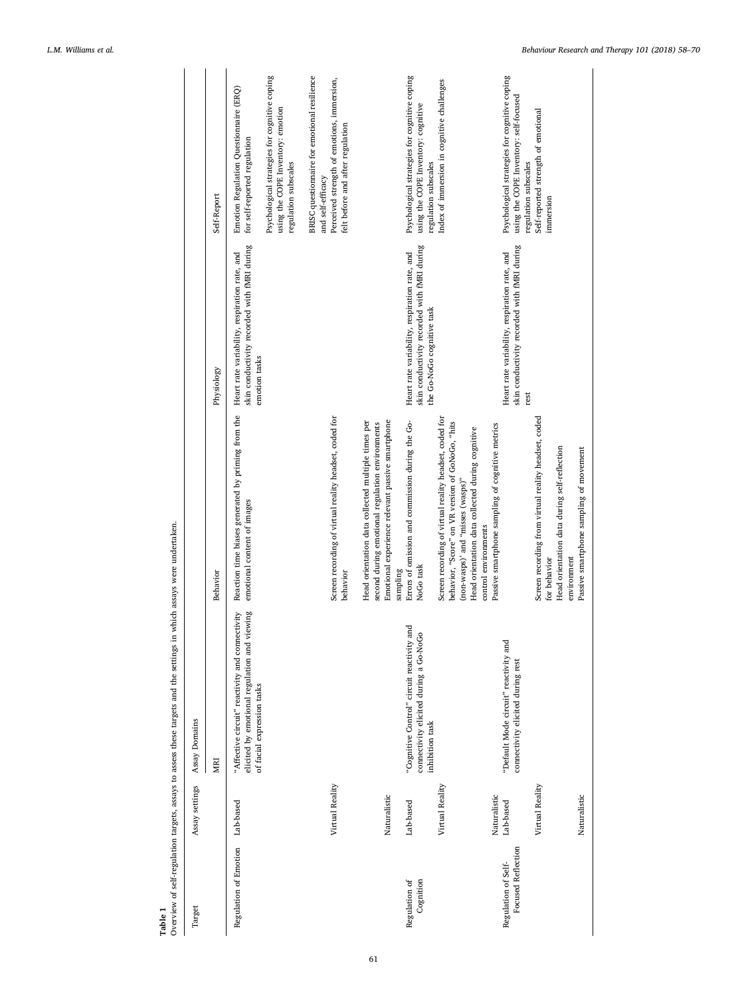<span id="page-3-0"></span>

| Target                                    | Assay settings                  | Assay Domains                                                                                                                 |                                                                                                                                                                                                                                                                                 |                                                                                                                            |                                                                                                                                                     |
|-------------------------------------------|---------------------------------|-------------------------------------------------------------------------------------------------------------------------------|---------------------------------------------------------------------------------------------------------------------------------------------------------------------------------------------------------------------------------------------------------------------------------|----------------------------------------------------------------------------------------------------------------------------|-----------------------------------------------------------------------------------------------------------------------------------------------------|
|                                           |                                 | MRI                                                                                                                           | Behavior                                                                                                                                                                                                                                                                        | Physiology                                                                                                                 | Self-Report                                                                                                                                         |
| Regulation of Emotion                     | Lab-based                       | elicited by emotional regulation and viewing<br>"Affective circuit" reactivity and connectivity<br>of facial expression tasks | Reaction time biases generated by priming from the<br>emotional content of images                                                                                                                                                                                               | skin conductivity recorded with fMRI during<br>Heart rate variability, respiration rate, and<br>emotion tasks              | Emotion Regulation Questionnaire (ERQ)<br>for self-reported regulation                                                                              |
|                                           |                                 |                                                                                                                               |                                                                                                                                                                                                                                                                                 |                                                                                                                            | Psychological strategies for cognitive coping<br>using the COPE Inventory: emotion<br>regulation subscales                                          |
|                                           | Virtual Reality                 |                                                                                                                               | Screen recording of virtual reality headset, coded for<br>behavior                                                                                                                                                                                                              |                                                                                                                            | BRISC questionnaire for emotional resilience<br>Perceived strength of emotions, immersion,<br>felt before and after regulation<br>and self-efficacy |
|                                           | Naturalistic                    |                                                                                                                               | Emotional experience relevant passive smartphone<br>Head orientation data collected multiple times per<br>second during emotional regulation environments<br>sampling                                                                                                           |                                                                                                                            |                                                                                                                                                     |
| Cognition<br>Regulation of                | Lab-based                       | "Cognitive Control" circuit reactivity and<br>connectivity elicited during a Go-NoGo<br>inhibition task                       | Errors of omission and commission during the Go-<br>NoGo task                                                                                                                                                                                                                   | skin conductivity recorded with fMRI during<br>Heart rate variability, respiration rate, and<br>the Go-NoGo cognitive task | Psychological strategies for cognitive coping<br>using the COPE Inventory: cognitive<br>regulation subscales                                        |
|                                           | Virtual Reality<br>Naturalistic |                                                                                                                               | Screen recording of virtual reality headset, coded for<br>behavior, "Score" on VR version of GoNoGo, "hits<br>Passive smartphone sampling of cognitive metrics<br>Head orientation data collected during cognitive<br>(non-wasps)' and "misses (wasps)"<br>control environments |                                                                                                                            | Index of immersion in cognitive challenges                                                                                                          |
| Focused Reflection<br>Regulation of Self- | Lab-based                       | "Default Mode circuit" reactivity and<br>connectivity elicited during rest                                                    |                                                                                                                                                                                                                                                                                 | skin conductivity recorded with fMRI during<br>Heart rate variability, respiration rate, and<br>rest                       | Psychological strategies for cognitive coping<br>using the COPE Inventory: self-focused<br>regulation subscales                                     |
|                                           | Virtual Reality                 |                                                                                                                               | Screen recording from virtual reality headset, coded<br>Head orientation data during self-reflection<br>environment<br>for behavior                                                                                                                                             |                                                                                                                            | Self-reported strength of emotional<br>immersion                                                                                                    |
|                                           | Naturalistic                    |                                                                                                                               | Passive smartphone sampling of movement                                                                                                                                                                                                                                         |                                                                                                                            |                                                                                                                                                     |

Table 1<br>Overview of self-regulation targets, assays to assess these targets and the settings in which assays were undertaken. Overview of self-regulation targets, assays to assess these targets and the settings in which assays were undertaken.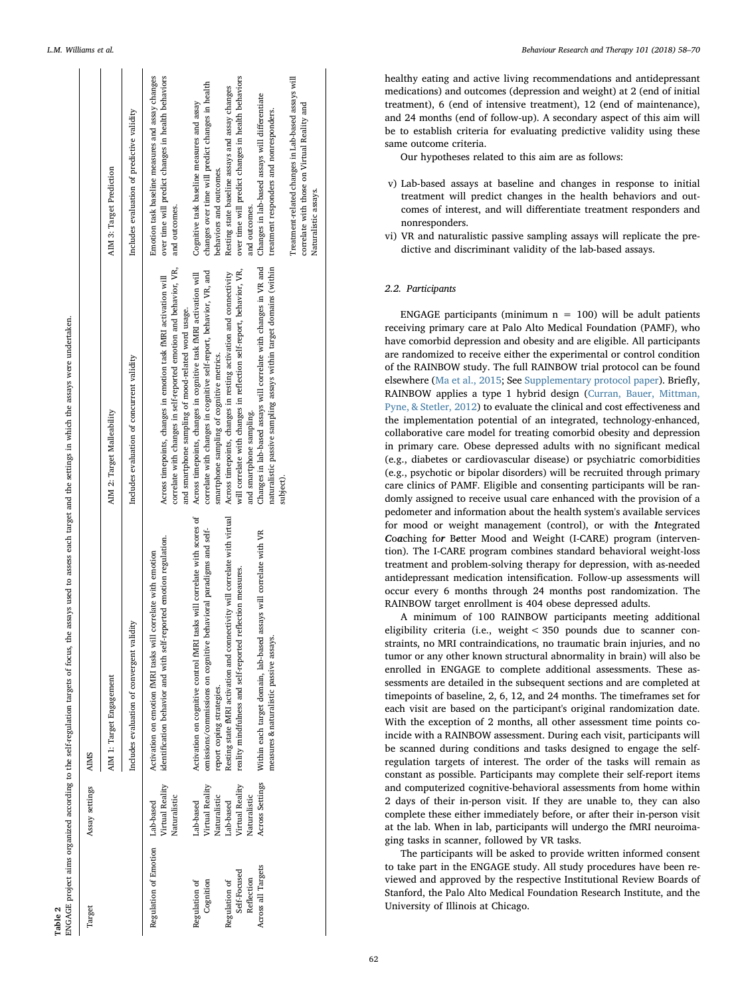<span id="page-4-0"></span>

| Table 2                                     |                                              | ENGAGE project aims organized according to the self-regulation targets of focus, the assays used to assess each target and the settings in which the assays were undertaken. |                                                                                                                                                                                             |                                                                                                                           |
|---------------------------------------------|----------------------------------------------|------------------------------------------------------------------------------------------------------------------------------------------------------------------------------|---------------------------------------------------------------------------------------------------------------------------------------------------------------------------------------------|---------------------------------------------------------------------------------------------------------------------------|
| Target                                      | Assay settings                               | <b>AIMS</b>                                                                                                                                                                  |                                                                                                                                                                                             |                                                                                                                           |
|                                             |                                              | AIM 1: Target Engagement                                                                                                                                                     | AIM 2: Target Malleability                                                                                                                                                                  | AIM 3: Target Prediction                                                                                                  |
|                                             |                                              | Includes evaluation of convergent validity                                                                                                                                   | Includes evaluation of concurrent validity                                                                                                                                                  | Includes evaluation of predictive validity                                                                                |
| Regulation of Emotion Lab-based             | Virtual Reality<br>Naturalistic              | identification behavior and with self-reported emotion regulation.<br>Activation on emotion fMRI tasks will correlate with emotion                                           | correlate with changes in self-reported emotion and behavior, VR,<br>Across timepoints, changes in emotion task fMRI activation will<br>and smartphone sampling of mood-related word usage. | Emotion task baseline measures and assay changes<br>over time will predict changes in health behaviors<br>and outcomes.   |
| Cognition<br>Regulation of                  | Virtual Reality<br>Naturalistic<br>Lab-based | Activation on cognitive control fMRI tasks will correlate with scores of<br>omissions/commissions on cognitive behavioral paradigms and self-<br>report coping strategies.   | correlate with changes in cognitive self-report, behavior, VR, and<br>Across timepoints, changes in cognitive task fMRI activation will<br>smartphone sampling of cognitive metrics.        | changes over time will predict changes in health<br>Cognitive task baseline measures and assay<br>behaviors and outcomes. |
| Self-Focused<br>Reflection<br>Regulation of | Virtual Reality<br>Naturalistic<br>Lab-based | Resting state fMRI activation and connectivity will correlate with virtual<br>reality mindfulness and self-reported reflection measures.                                     | will correlate with changes in reflection self-report, behavior, VR,<br>Across timepoints, changes in resting activation and connectivity<br>and smartphone sampling.                       | over time will predict changes in health behaviors<br>Resting state baseline assays and assay changes<br>and outcomes.    |
| Across all Targets                          | Across Settings                              | Within each target domain, lab-based assays will correlate with VR<br>measures & naturalistic passive assays.                                                                | naturalistic passive sampling assays within target domains (within<br>Changes in lab-based assays will correlate with changes in VR and<br>subject).                                        | Changes in lab-based assays will differentiate<br>treatment responders and nonresponders.                                 |
|                                             |                                              |                                                                                                                                                                              |                                                                                                                                                                                             | Treatment-related changes in Lab-based assays will<br>correlate with those on Virtual Reality and                         |

healthy eating and active living recommendations and antidepressant medications) and outcomes (depression and weight) at 2 (end of initial treatment), 6 (end of intensive treatment), 12 (end of maintenance), and 24 months (end of follow-up). A secondary aspect of this aim will be to establish criteria for evaluating predictive validity using these same outcome criteria.

Our hypotheses related to this aim are as follows:

- v) Lab-based assays at baseline and changes in response to initial treatment will predict changes in the health behaviors and outcomes of interest, and will differentiate treatment responders and nonresponders.
- vi) VR and naturalistic passive sampling assays will replicate the predictive and discriminant validity of the lab-based assays.

### 2.2. Participants

Naturalistic assays.

Naturalistic assays.

ENGAGE participants (minimum  $n = 100$ ) will be adult patients receiving primary care at Palo Alto Medical Foundation (PAMF), who have comorbid depression and obesity and are eligible. All participants are randomized to receive either the experimental or control condition of the RAINBOW study. The full RAINBOW trial protocol can be found elsewhere ([Ma et al., 2015;](#page-12-2) See Supplementary protocol paper). Briefly, RAINBOW applies a type 1 hybrid design [\(Curran, Bauer, Mittman,](#page-11-15) [Pyne, & Stetler, 2012\)](#page-11-15) to evaluate the clinical and cost effectiveness and the implementation potential of an integrated, technology-enhanced, collaborative care model for treating comorbid obesity and depression in primary care. Obese depressed adults with no significant medical (e.g., diabetes or cardiovascular disease) or psychiatric comorbidities (e.g., psychotic or bipolar disorders) will be recruited through primary care clinics of PAMF. Eligible and consenting participants will be randomly assigned to receive usual care enhanced with the provision of a pedometer and information about the health system's available services for mood or weight management (control), or with the Integrated Coaching for Better Mood and Weight (I-CARE) program (intervention). The I-CARE program combines standard behavioral weight-loss treatment and problem-solving therapy for depression, with as-needed antidepressant medication intensification. Follow-up assessments will occur every 6 months through 24 months post randomization. The RAINBOW target enrollment is 404 obese depressed adults.

A minimum of 100 RAINBOW participants meeting additional eligibility criteria (i.e., weight < 350 pounds due to scanner constraints, no MRI contraindications, no traumatic brain injuries, and no tumor or any other known structural abnormality in brain) will also be enrolled in ENGAGE to complete additional assessments. These assessments are detailed in the subsequent sections and are completed at timepoints of baseline, 2, 6, 12, and 24 months. The timeframes set for each visit are based on the participant's original randomization date. With the exception of 2 months, all other assessment time points coincide with a RAINBOW assessment. During each visit, participants will be scanned during conditions and tasks designed to engage the selfregulation targets of interest. The order of the tasks will remain as constant as possible. Participants may complete their self-report items and computerized cognitive-behavioral assessments from home within 2 days of their in-person visit. If they are unable to, they can also complete these either immediately before, or after their in-person visit at the lab. When in lab, participants will undergo the fMRI neuroimaging tasks in scanner, followed by VR tasks.

The participants will be asked to provide written informed consent to take part in the ENGAGE study. All study procedures have been reviewed and approved by the respective Institutional Review Boards of Stanford, the Palo Alto Medical Foundation Research Institute, and the University of Illinois at Chicago.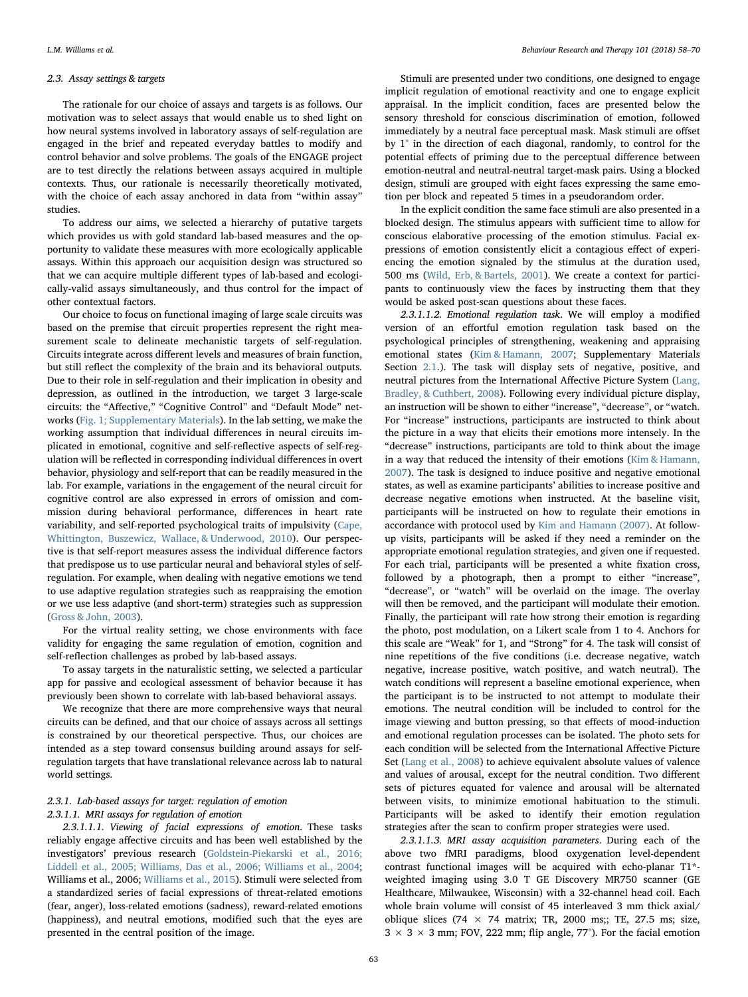#### <span id="page-5-0"></span>2.3. Assay settings & targets

The rationale for our choice of assays and targets is as follows. Our motivation was to select assays that would enable us to shed light on how neural systems involved in laboratory assays of self-regulation are engaged in the brief and repeated everyday battles to modify and control behavior and solve problems. The goals of the ENGAGE project are to test directly the relations between assays acquired in multiple contexts. Thus, our rationale is necessarily theoretically motivated, with the choice of each assay anchored in data from "within assay" studies.

To address our aims, we selected a hierarchy of putative targets which provides us with gold standard lab-based measures and the opportunity to validate these measures with more ecologically applicable assays. Within this approach our acquisition design was structured so that we can acquire multiple different types of lab-based and ecologically-valid assays simultaneously, and thus control for the impact of other contextual factors.

Our choice to focus on functional imaging of large scale circuits was based on the premise that circuit properties represent the right measurement scale to delineate mechanistic targets of self-regulation. Circuits integrate across different levels and measures of brain function, but still reflect the complexity of the brain and its behavioral outputs. Due to their role in self-regulation and their implication in obesity and depression, as outlined in the introduction, we target 3 large-scale circuits: the "Affective," "Cognitive Control" and "Default Mode" networks (Fig. 1; Supplementary Materials). In the lab setting, we make the working assumption that individual differences in neural circuits implicated in emotional, cognitive and self-reflective aspects of self-regulation will be reflected in corresponding individual differences in overt behavior, physiology and self-report that can be readily measured in the lab. For example, variations in the engagement of the neural circuit for cognitive control are also expressed in errors of omission and commission during behavioral performance, differences in heart rate variability, and self-reported psychological traits of impulsivity ([Cape,](#page-11-16) [Whittington, Buszewicz, Wallace, & Underwood, 2010\)](#page-11-16). Our perspective is that self-report measures assess the individual difference factors that predispose us to use particular neural and behavioral styles of selfregulation. For example, when dealing with negative emotions we tend to use adaptive regulation strategies such as reappraising the emotion or we use less adaptive (and short-term) strategies such as suppression ([Gross & John, 2003\)](#page-11-17).

For the virtual reality setting, we chose environments with face validity for engaging the same regulation of emotion, cognition and self-reflection challenges as probed by lab-based assays.

To assay targets in the naturalistic setting, we selected a particular app for passive and ecological assessment of behavior because it has previously been shown to correlate with lab-based behavioral assays.

We recognize that there are more comprehensive ways that neural circuits can be defined, and that our choice of assays across all settings is constrained by our theoretical perspective. Thus, our choices are intended as a step toward consensus building around assays for selfregulation targets that have translational relevance across lab to natural world settings.

# <span id="page-5-1"></span>2.3.1. Lab-based assays for target: regulation of emotion 2.3.1.1. MRI assays for regulation of emotion

2.3.1.1.1. Viewing of facial expressions of emotion. These tasks reliably engage affective circuits and has been well established by the investigators' previous research ([Goldstein-Piekarski et al., 2016;](#page-11-18) [Liddell et al., 2005; Williams, Das et al., 2006; Williams et al., 2004](#page-11-18); Williams et al., 2006; [Williams et al., 2015](#page-12-1)). Stimuli were selected from a standardized series of facial expressions of threat-related emotions (fear, anger), loss-related emotions (sadness), reward-related emotions (happiness), and neutral emotions, modified such that the eyes are presented in the central position of the image.

Stimuli are presented under two conditions, one designed to engage implicit regulation of emotional reactivity and one to engage explicit appraisal. In the implicit condition, faces are presented below the sensory threshold for conscious discrimination of emotion, followed immediately by a neutral face perceptual mask. Mask stimuli are offset by 1° in the direction of each diagonal, randomly, to control for the potential effects of priming due to the perceptual difference between emotion-neutral and neutral-neutral target-mask pairs. Using a blocked design, stimuli are grouped with eight faces expressing the same emotion per block and repeated 5 times in a pseudorandom order.

In the explicit condition the same face stimuli are also presented in a blocked design. The stimulus appears with sufficient time to allow for conscious elaborative processing of the emotion stimulus. Facial expressions of emotion consistently elicit a contagious effect of experiencing the emotion signaled by the stimulus at the duration used, 500 ms ([Wild, Erb, & Bartels, 2001](#page-12-3)). We create a context for participants to continuously view the faces by instructing them that they would be asked post-scan questions about these faces.

2.3.1.1.2. Emotional regulation task. We will employ a modified version of an effortful emotion regulation task based on the psychological principles of strengthening, weakening and appraising emotional states [\(Kim & Hamann, 2007;](#page-11-19) Supplementary Materials Section [2.1](#page-2-1).). The task will display sets of negative, positive, and neutral pictures from the International Affective Picture System [\(Lang,](#page-11-20) [Bradley, & Cuthbert, 2008](#page-11-20)). Following every individual picture display, an instruction will be shown to either "increase", "decrease", or "watch. For "increase" instructions, participants are instructed to think about the picture in a way that elicits their emotions more intensely. In the "decrease" instructions, participants are told to think about the image in a way that reduced the intensity of their emotions ([Kim & Hamann,](#page-11-19) [2007\)](#page-11-19). The task is designed to induce positive and negative emotional states, as well as examine participants' abilities to increase positive and decrease negative emotions when instructed. At the baseline visit, participants will be instructed on how to regulate their emotions in accordance with protocol used by [Kim and Hamann \(2007\).](#page-11-19) At followup visits, participants will be asked if they need a reminder on the appropriate emotional regulation strategies, and given one if requested. For each trial, participants will be presented a white fixation cross, followed by a photograph, then a prompt to either "increase", "decrease", or "watch" will be overlaid on the image. The overlay will then be removed, and the participant will modulate their emotion. Finally, the participant will rate how strong their emotion is regarding the photo, post modulation, on a Likert scale from 1 to 4. Anchors for this scale are "Weak" for 1, and "Strong" for 4. The task will consist of nine repetitions of the five conditions (i.e. decrease negative, watch negative, increase positive, watch positive, and watch neutral). The watch conditions will represent a baseline emotional experience, when the participant is to be instructed to not attempt to modulate their emotions. The neutral condition will be included to control for the image viewing and button pressing, so that effects of mood-induction and emotional regulation processes can be isolated. The photo sets for each condition will be selected from the International Affective Picture Set ([Lang et al., 2008](#page-11-20)) to achieve equivalent absolute values of valence and values of arousal, except for the neutral condition. Two different sets of pictures equated for valence and arousal will be alternated between visits, to minimize emotional habituation to the stimuli. Participants will be asked to identify their emotion regulation strategies after the scan to confirm proper strategies were used.

2.3.1.1.3. MRI assay acquisition parameters. During each of the above two fMRI paradigms, blood oxygenation level-dependent contrast functional images will be acquired with echo-planar T1\* weighted imaging using 3.0 T GE Discovery MR750 scanner (GE Healthcare, Milwaukee, Wisconsin) with a 32-channel head coil. Each whole brain volume will consist of 45 interleaved 3 mm thick axial/ oblique slices (74  $\times$  74 matrix; TR, 2000 ms;; TE, 27.5 ms; size,  $3 \times 3 \times 3$  mm; FOV, 222 mm; flip angle, 77°). For the facial emotion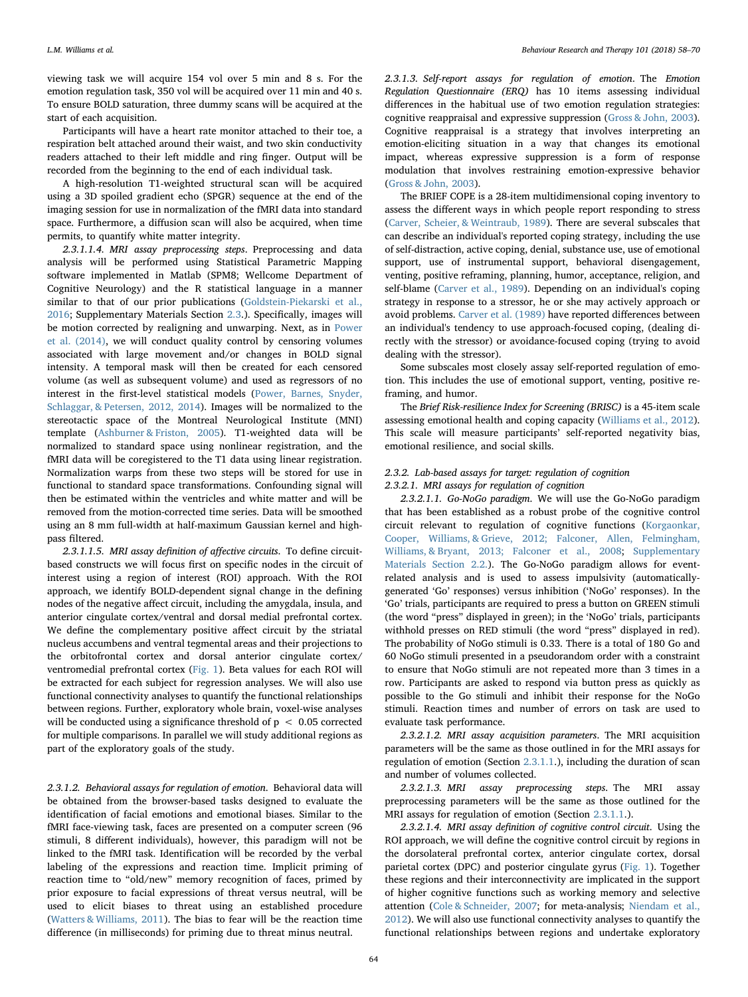viewing task we will acquire 154 vol over 5 min and 8 s. For the emotion regulation task, 350 vol will be acquired over 11 min and 40 s. To ensure BOLD saturation, three dummy scans will be acquired at the start of each acquisition.

Participants will have a heart rate monitor attached to their toe, a respiration belt attached around their waist, and two skin conductivity readers attached to their left middle and ring finger. Output will be recorded from the beginning to the end of each individual task.

A high-resolution T1-weighted structural scan will be acquired using a 3D spoiled gradient echo (SPGR) sequence at the end of the imaging session for use in normalization of the fMRI data into standard space. Furthermore, a diffusion scan will also be acquired, when time permits, to quantify white matter integrity.

2.3.1.1.4. MRI assay preprocessing steps. Preprocessing and data analysis will be performed using Statistical Parametric Mapping software implemented in Matlab (SPM8; Wellcome Department of Cognitive Neurology) and the R statistical language in a manner similar to that of our prior publications ([Goldstein-Piekarski et al.,](#page-11-18) [2016;](#page-11-18) Supplementary Materials Section [2.3](#page-5-0).). Specifically, images will be motion corrected by realigning and unwarping. Next, as in [Power](#page-12-4) [et al. \(2014\)](#page-12-4), we will conduct quality control by censoring volumes associated with large movement and/or changes in BOLD signal intensity. A temporal mask will then be created for each censored volume (as well as subsequent volume) and used as regressors of no interest in the first-level statistical models [\(Power, Barnes, Snyder,](#page-12-5) [Schlaggar, & Petersen, 2012, 2014\)](#page-12-5). Images will be normalized to the stereotactic space of the Montreal Neurological Institute (MNI) template [\(Ashburner & Friston, 2005](#page-11-21)). T1-weighted data will be normalized to standard space using nonlinear registration, and the fMRI data will be coregistered to the T1 data using linear registration. Normalization warps from these two steps will be stored for use in functional to standard space transformations. Confounding signal will then be estimated within the ventricles and white matter and will be removed from the motion-corrected time series. Data will be smoothed using an 8 mm full-width at half-maximum Gaussian kernel and highpass filtered.

2.3.1.1.5. MRI assay definition of affective circuits. To define circuitbased constructs we will focus first on specific nodes in the circuit of interest using a region of interest (ROI) approach. With the ROI approach, we identify BOLD-dependent signal change in the defining nodes of the negative affect circuit, including the amygdala, insula, and anterior cingulate cortex/ventral and dorsal medial prefrontal cortex. We define the complementary positive affect circuit by the striatal nucleus accumbens and ventral tegmental areas and their projections to the orbitofrontal cortex and dorsal anterior cingulate cortex/ ventromedial prefrontal cortex ([Fig. 1](#page-1-0)). Beta values for each ROI will be extracted for each subject for regression analyses. We will also use functional connectivity analyses to quantify the functional relationships between regions. Further, exploratory whole brain, voxel-wise analyses will be conducted using a significance threshold of  $p < 0.05$  corrected for multiple comparisons. In parallel we will study additional regions as part of the exploratory goals of the study.

2.3.1.2. Behavioral assays for regulation of emotion. Behavioral data will be obtained from the browser-based tasks designed to evaluate the identification of facial emotions and emotional biases. Similar to the fMRI face-viewing task, faces are presented on a computer screen (96 stimuli, 8 different individuals), however, this paradigm will not be linked to the fMRI task. Identification will be recorded by the verbal labeling of the expressions and reaction time. Implicit priming of reaction time to "old/new" memory recognition of faces, primed by prior exposure to facial expressions of threat versus neutral, will be used to elicit biases to threat using an established procedure ([Watters & Williams, 2011\)](#page-12-6). The bias to fear will be the reaction time difference (in milliseconds) for priming due to threat minus neutral.

<span id="page-6-0"></span>2.3.1.3. Self-report assays for regulation of emotion. The Emotion Regulation Questionnaire (ERQ) has 10 items assessing individual differences in the habitual use of two emotion regulation strategies: cognitive reappraisal and expressive suppression [\(Gross & John, 2003](#page-11-17)). Cognitive reappraisal is a strategy that involves interpreting an emotion-eliciting situation in a way that changes its emotional impact, whereas expressive suppression is a form of response modulation that involves restraining emotion-expressive behavior ([Gross & John, 2003\)](#page-11-17).

The BRIEF COPE is a 28-item multidimensional coping inventory to assess the different ways in which people report responding to stress ([Carver, Scheier, & Weintraub, 1989](#page-11-22)). There are several subscales that can describe an individual's reported coping strategy, including the use of self-distraction, active coping, denial, substance use, use of emotional support, use of instrumental support, behavioral disengagement, venting, positive reframing, planning, humor, acceptance, religion, and self-blame ([Carver et al., 1989](#page-11-22)). Depending on an individual's coping strategy in response to a stressor, he or she may actively approach or avoid problems. [Carver et al. \(1989\)](#page-11-22) have reported differences between an individual's tendency to use approach-focused coping, (dealing directly with the stressor) or avoidance-focused coping (trying to avoid dealing with the stressor).

Some subscales most closely assay self-reported regulation of emotion. This includes the use of emotional support, venting, positive reframing, and humor.

The Brief Risk-resilience Index for Screening (BRISC) is a 45-item scale assessing emotional health and coping capacity ([Williams et al., 2012](#page-12-7)). This scale will measure participants' self-reported negativity bias, emotional resilience, and social skills.

# 2.3.2. Lab-based assays for target: regulation of cognition 2.3.2.1. MRI assays for regulation of cognition

2.3.2.1.1. Go-NoGo paradigm. We will use the Go-NoGo paradigm that has been established as a robust probe of the cognitive control circuit relevant to regulation of cognitive functions [\(Korgaonkar,](#page-11-23) [Cooper, Williams, & Grieve, 2012; Falconer, Allen, Felmingham,](#page-11-23) [Williams, & Bryant, 2013; Falconer et al., 2008](#page-11-23); Supplementary Materials Section 2.2.). The Go-NoGo paradigm allows for eventrelated analysis and is used to assess impulsivity (automaticallygenerated 'Go' responses) versus inhibition ('NoGo' responses). In the 'Go' trials, participants are required to press a button on GREEN stimuli (the word "press" displayed in green); in the 'NoGo' trials, participants withhold presses on RED stimuli (the word "press" displayed in red). The probability of NoGo stimuli is 0.33. There is a total of 180 Go and 60 NoGo stimuli presented in a pseudorandom order with a constraint to ensure that NoGo stimuli are not repeated more than 3 times in a row. Participants are asked to respond via button press as quickly as possible to the Go stimuli and inhibit their response for the NoGo stimuli. Reaction times and number of errors on task are used to evaluate task performance.

2.3.2.1.2. MRI assay acquisition parameters. The MRI acquisition parameters will be the same as those outlined in for the MRI assays for regulation of emotion (Section [2.3.1.1](#page-5-1).), including the duration of scan and number of volumes collected.

2.3.2.1.3. MRI assay preprocessing steps. The MRI assay preprocessing parameters will be the same as those outlined for the MRI assays for regulation of emotion (Section [2.3.1.1](#page-5-1).).

2.3.2.1.4. MRI assay definition of cognitive control circuit. Using the ROI approach, we will define the cognitive control circuit by regions in the dorsolateral prefrontal cortex, anterior cingulate cortex, dorsal parietal cortex (DPC) and posterior cingulate gyrus [\(Fig. 1\)](#page-1-0). Together these regions and their interconnectivity are implicated in the support of higher cognitive functions such as working memory and selective attention [\(Cole & Schneider, 2007;](#page-11-8) for meta-analysis; [Niendam et al.,](#page-12-8) [2012\)](#page-12-8). We will also use functional connectivity analyses to quantify the functional relationships between regions and undertake exploratory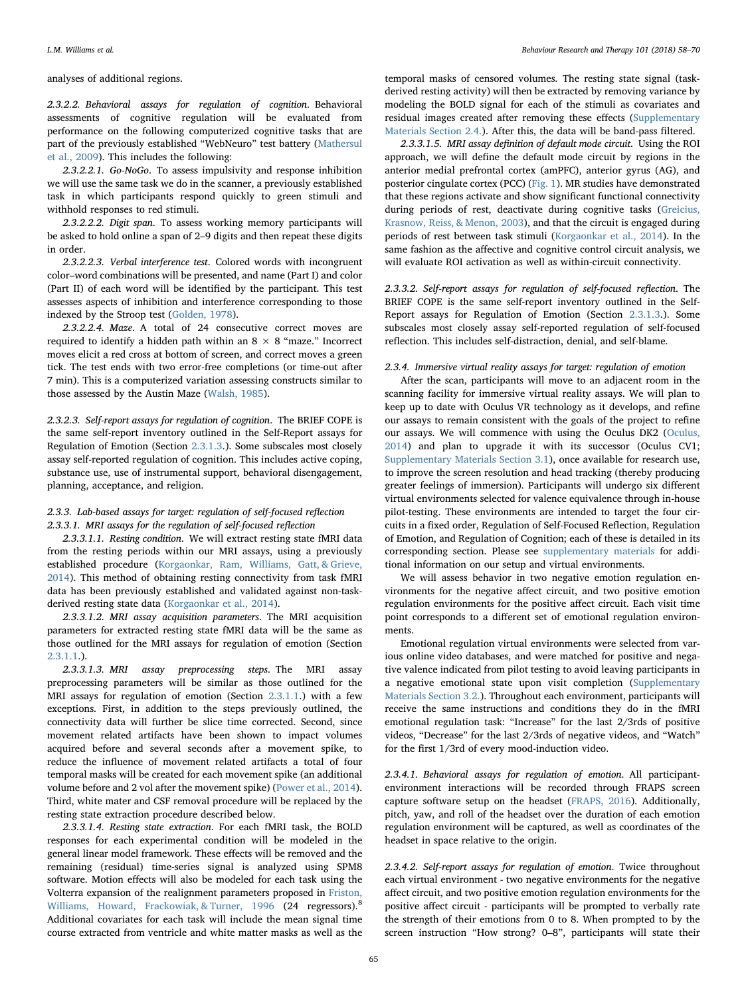analyses of additional regions.

2.3.2.2. Behavioral assays for regulation of cognition. Behavioral assessments of cognitive regulation will be evaluated from performance on the following computerized cognitive tasks that are part of the previously established "WebNeuro" test battery [\(Mathersul](#page-11-24) [et al., 2009](#page-11-24)). This includes the following:

2.3.2.2.1. Go-NoGo. To assess impulsivity and response inhibition we will use the same task we do in the scanner, a previously established task in which participants respond quickly to green stimuli and withhold responses to red stimuli.

2.3.2.2.2. Digit span. To assess working memory participants will be asked to hold online a span of 2–9 digits and then repeat these digits in order.

2.3.2.2.3. Verbal interference test. Colored words with incongruent color–word combinations will be presented, and name (Part I) and color (Part II) of each word will be identified by the participant. This test assesses aspects of inhibition and interference corresponding to those indexed by the Stroop test [\(Golden, 1978](#page-11-25)).

2.3.2.2.4. Maze. A total of 24 consecutive correct moves are required to identify a hidden path within an  $8 \times 8$  "maze." Incorrect moves elicit a red cross at bottom of screen, and correct moves a green tick. The test ends with two error-free completions (or time-out after 7 min). This is a computerized variation assessing constructs similar to those assessed by the Austin Maze [\(Walsh, 1985\)](#page-12-9).

2.3.2.3. Self-report assays for regulation of cognition. The BRIEF COPE is the same self-report inventory outlined in the Self-Report assays for Regulation of Emotion (Section [2.3.1.3](#page-6-0).). Some subscales most closely assay self-reported regulation of cognition. This includes active coping, substance use, use of instrumental support, behavioral disengagement, planning, acceptance, and religion.

# 2.3.3. Lab-based assays for target: regulation of self-focused reflection 2.3.3.1. MRI assays for the regulation of self-focused reflection

2.3.3.1.1. Resting condition. We will extract resting state fMRI data from the resting periods within our MRI assays, using a previously established procedure [\(Korgaonkar, Ram, Williams, Gatt, & Grieve,](#page-11-26) [2014\)](#page-11-26). This method of obtaining resting connectivity from task fMRI data has been previously established and validated against non-taskderived resting state data ([Korgaonkar et al., 2014](#page-11-26)).

2.3.3.1.2. MRI assay acquisition parameters. The MRI acquisition parameters for extracted resting state fMRI data will be the same as those outlined for the MRI assays for regulation of emotion (Section [2.3.1.1](#page-5-1).).

2.3.3.1.3. MRI assay preprocessing steps. The MRI assay preprocessing parameters will be similar as those outlined for the MRI assays for regulation of emotion (Section [2.3.1.1](#page-5-1).) with a few exceptions. First, in addition to the steps previously outlined, the connectivity data will further be slice time corrected. Second, since movement related artifacts have been shown to impact volumes acquired before and several seconds after a movement spike, to reduce the influence of movement related artifacts a total of four temporal masks will be created for each movement spike (an additional volume before and 2 vol after the movement spike) [\(Power et al., 2014](#page-12-4)). Third, white mater and CSF removal procedure will be replaced by the resting state extraction procedure described below.

2.3.3.1.4. Resting state extraction. For each fMRI task, the BOLD responses for each experimental condition will be modeled in the general linear model framework. These effects will be removed and the remaining (residual) time-series signal is analyzed using SPM8 software. Motion effects will also be modeled for each task using the Volterra expansion of the realignment parameters proposed in [Friston,](#page-11-27) [Williams, Howard, Frackowiak, & Turner, 1996](#page-11-27) (24 regressors).<sup>8</sup> Additional covariates for each task will include the mean signal time course extracted from ventricle and white matter masks as well as the

temporal masks of censored volumes. The resting state signal (taskderived resting activity) will then be extracted by removing variance by modeling the BOLD signal for each of the stimuli as covariates and residual images created after removing these effects (Supplementary Materials Section 2.4.). After this, the data will be band-pass filtered.

2.3.3.1.5. MRI assay definition of default mode circuit. Using the ROI approach, we will define the default mode circuit by regions in the anterior medial prefrontal cortex (amPFC), anterior gyrus (AG), and posterior cingulate cortex (PCC) ([Fig. 1](#page-1-0)). MR studies have demonstrated that these regions activate and show significant functional connectivity during periods of rest, deactivate during cognitive tasks ([Greicius,](#page-11-28) [Krasnow, Reiss, & Menon, 2003](#page-11-28)), and that the circuit is engaged during periods of rest between task stimuli [\(Korgaonkar et al., 2014\)](#page-11-26). In the same fashion as the affective and cognitive control circuit analysis, we will evaluate ROI activation as well as within-circuit connectivity.

2.3.3.2. Self-report assays for regulation of self-focused reflection. The BRIEF COPE is the same self-report inventory outlined in the Self-Report assays for Regulation of Emotion (Section [2.3.1.3.](#page-6-0)). Some subscales most closely assay self-reported regulation of self-focused reflection. This includes self-distraction, denial, and self-blame.

# 2.3.4. Immersive virtual reality assays for target: regulation of emotion

After the scan, participants will move to an adjacent room in the scanning facility for immersive virtual reality assays. We will plan to keep up to date with Oculus VR technology as it develops, and refine our assays to remain consistent with the goals of the project to refine our assays. We will commence with using the Oculus DK2 [\(Oculus,](#page-12-10) [2014\)](#page-12-10) and plan to upgrade it with its successor (Oculus CV1; Supplementary Materials Section 3.1), once available for research use, to improve the screen resolution and head tracking (thereby producing greater feelings of immersion). Participants will undergo six different virtual environments selected for valence equivalence through in-house pilot-testing. These environments are intended to target the four circuits in a fixed order, Regulation of Self-Focused Reflection, Regulation of Emotion, and Regulation of Cognition; each of these is detailed in its corresponding section. Please see supplementary materials for additional information on our setup and virtual environments.

We will assess behavior in two negative emotion regulation environments for the negative affect circuit, and two positive emotion regulation environments for the positive affect circuit. Each visit time point corresponds to a different set of emotional regulation environments.

Emotional regulation virtual environments were selected from various online video databases, and were matched for positive and negative valence indicated from pilot testing to avoid leaving participants in a negative emotional state upon visit completion (Supplementary Materials Section 3.2.). Throughout each environment, participants will receive the same instructions and conditions they do in the fMRI emotional regulation task: "Increase" for the last 2/3rds of positive videos, "Decrease" for the last 2/3rds of negative videos, and "Watch" for the first 1/3rd of every mood-induction video.

<span id="page-7-0"></span>2.3.4.1. Behavioral assays for regulation of emotion. All participantenvironment interactions will be recorded through FRAPS screen capture software setup on the headset ([FRAPS, 2016\)](#page-11-29). Additionally, pitch, yaw, and roll of the headset over the duration of each emotion regulation environment will be captured, as well as coordinates of the headset in space relative to the origin.

2.3.4.2. Self-report assays for regulation of emotion. Twice throughout each virtual environment - two negative environments for the negative affect circuit, and two positive emotion regulation environments for the positive affect circuit - participants will be prompted to verbally rate the strength of their emotions from 0 to 8. When prompted to by the screen instruction "How strong? 0–8", participants will state their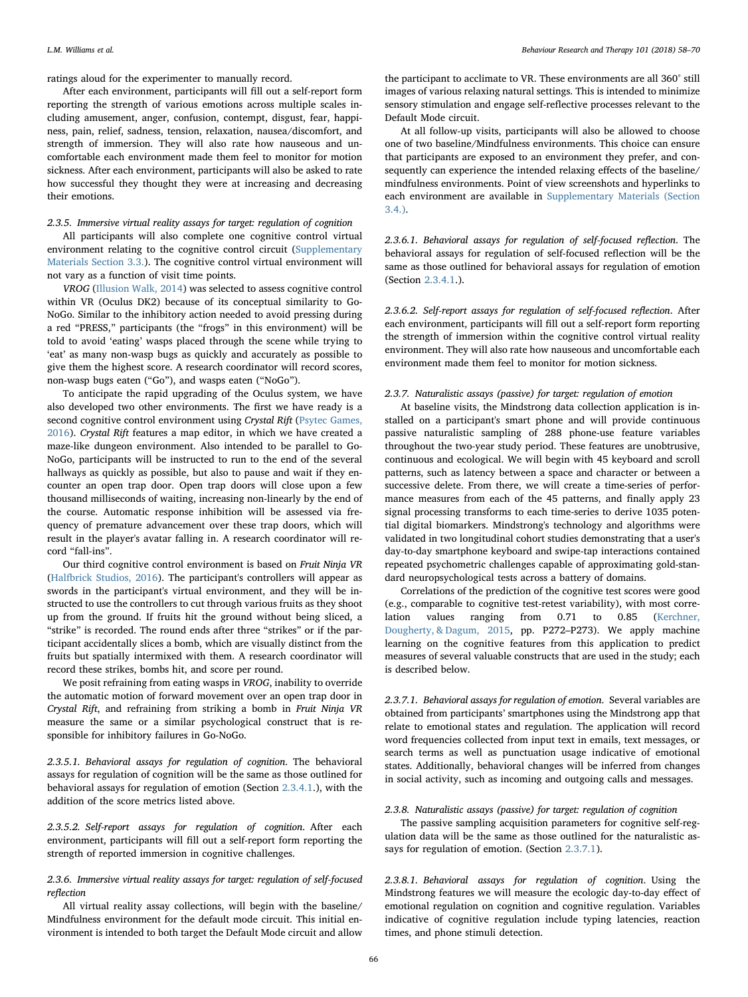ratings aloud for the experimenter to manually record.

After each environment, participants will fill out a self-report form reporting the strength of various emotions across multiple scales including amusement, anger, confusion, contempt, disgust, fear, happiness, pain, relief, sadness, tension, relaxation, nausea/discomfort, and strength of immersion. They will also rate how nauseous and uncomfortable each environment made them feel to monitor for motion sickness. After each environment, participants will also be asked to rate how successful they thought they were at increasing and decreasing their emotions.

# 2.3.5. Immersive virtual reality assays for target: regulation of cognition

All participants will also complete one cognitive control virtual environment relating to the cognitive control circuit (Supplementary Materials Section 3.3.). The cognitive control virtual environment will not vary as a function of visit time points.

VROG ([Illusion Walk, 2014\)](#page-11-30) was selected to assess cognitive control within VR (Oculus DK2) because of its conceptual similarity to Go-NoGo. Similar to the inhibitory action needed to avoid pressing during a red "PRESS," participants (the "frogs" in this environment) will be told to avoid 'eating' wasps placed through the scene while trying to 'eat' as many non-wasp bugs as quickly and accurately as possible to give them the highest score. A research coordinator will record scores, non-wasp bugs eaten ("Go"), and wasps eaten ("NoGo").

To anticipate the rapid upgrading of the Oculus system, we have also developed two other environments. The first we have ready is a second cognitive control environment using Crystal Rift [\(Psytec Games,](#page-12-11) [2016\)](#page-12-11). Crystal Rift features a map editor, in which we have created a maze-like dungeon environment. Also intended to be parallel to Go-NoGo, participants will be instructed to run to the end of the several hallways as quickly as possible, but also to pause and wait if they encounter an open trap door. Open trap doors will close upon a few thousand milliseconds of waiting, increasing non-linearly by the end of the course. Automatic response inhibition will be assessed via frequency of premature advancement over these trap doors, which will result in the player's avatar falling in. A research coordinator will record "fall-ins".

Our third cognitive control environment is based on Fruit Ninja VR ([Halfbrick Studios, 2016\)](#page-11-31). The participant's controllers will appear as swords in the participant's virtual environment, and they will be instructed to use the controllers to cut through various fruits as they shoot up from the ground. If fruits hit the ground without being sliced, a "strike" is recorded. The round ends after three "strikes" or if the participant accidentally slices a bomb, which are visually distinct from the fruits but spatially intermixed with them. A research coordinator will record these strikes, bombs hit, and score per round.

We posit refraining from eating wasps in VROG, inability to override the automatic motion of forward movement over an open trap door in Crystal Rift, and refraining from striking a bomb in Fruit Ninja VR measure the same or a similar psychological construct that is responsible for inhibitory failures in Go-NoGo.

2.3.5.1. Behavioral assays for regulation of cognition. The behavioral assays for regulation of cognition will be the same as those outlined for behavioral assays for regulation of emotion (Section [2.3.4.1](#page-7-0).), with the addition of the score metrics listed above.

2.3.5.2. Self-report assays for regulation of cognition. After each environment, participants will fill out a self-report form reporting the strength of reported immersion in cognitive challenges.

# 2.3.6. Immersive virtual reality assays for target: regulation of self-focused reflection

All virtual reality assay collections, will begin with the baseline/ Mindfulness environment for the default mode circuit. This initial environment is intended to both target the Default Mode circuit and allow

the participant to acclimate to VR. These environments are all 360° still images of various relaxing natural settings. This is intended to minimize sensory stimulation and engage self-reflective processes relevant to the Default Mode circuit.

At all follow-up visits, participants will also be allowed to choose one of two baseline/Mindfulness environments. This choice can ensure that participants are exposed to an environment they prefer, and consequently can experience the intended relaxing effects of the baseline/ mindfulness environments. Point of view screenshots and hyperlinks to each environment are available in Supplementary Materials (Section 3.4.).

2.3.6.1. Behavioral assays for regulation of self-focused reflection. The behavioral assays for regulation of self-focused reflection will be the same as those outlined for behavioral assays for regulation of emotion (Section [2.3.4.1.](#page-7-0)).

2.3.6.2. Self-report assays for regulation of self-focused reflection. After each environment, participants will fill out a self-report form reporting the strength of immersion within the cognitive control virtual reality environment. They will also rate how nauseous and uncomfortable each environment made them feel to monitor for motion sickness.

#### 2.3.7. Naturalistic assays (passive) for target: regulation of emotion

At baseline visits, the Mindstrong data collection application is installed on a participant's smart phone and will provide continuous passive naturalistic sampling of 288 phone-use feature variables throughout the two-year study period. These features are unobtrusive, continuous and ecological. We will begin with 45 keyboard and scroll patterns, such as latency between a space and character or between a successive delete. From there, we will create a time-series of performance measures from each of the 45 patterns, and finally apply 23 signal processing transforms to each time-series to derive 1035 potential digital biomarkers. Mindstrong's technology and algorithms were validated in two longitudinal cohort studies demonstrating that a user's day-to-day smartphone keyboard and swipe-tap interactions contained repeated psychometric challenges capable of approximating gold-standard neuropsychological tests across a battery of domains.

Correlations of the prediction of the cognitive test scores were good (e.g., comparable to cognitive test-retest variability), with most correlation values ranging from 0.71 to 0.85 ([Kerchner,](#page-11-32) [Dougherty, & Dagum, 2015](#page-11-32), pp. P272–P273). We apply machine learning on the cognitive features from this application to predict measures of several valuable constructs that are used in the study; each is described below.

<span id="page-8-0"></span>2.3.7.1. Behavioral assays for regulation of emotion. Several variables are obtained from participants' smartphones using the Mindstrong app that relate to emotional states and regulation. The application will record word frequencies collected from input text in emails, text messages, or search terms as well as punctuation usage indicative of emotional states. Additionally, behavioral changes will be inferred from changes in social activity, such as incoming and outgoing calls and messages.

#### 2.3.8. Naturalistic assays (passive) for target: regulation of cognition

The passive sampling acquisition parameters for cognitive self-regulation data will be the same as those outlined for the naturalistic assays for regulation of emotion. (Section [2.3.7.1\)](#page-8-0).

2.3.8.1. Behavioral assays for regulation of cognition. Using the Mindstrong features we will measure the ecologic day-to-day effect of emotional regulation on cognition and cognitive regulation. Variables indicative of cognitive regulation include typing latencies, reaction times, and phone stimuli detection.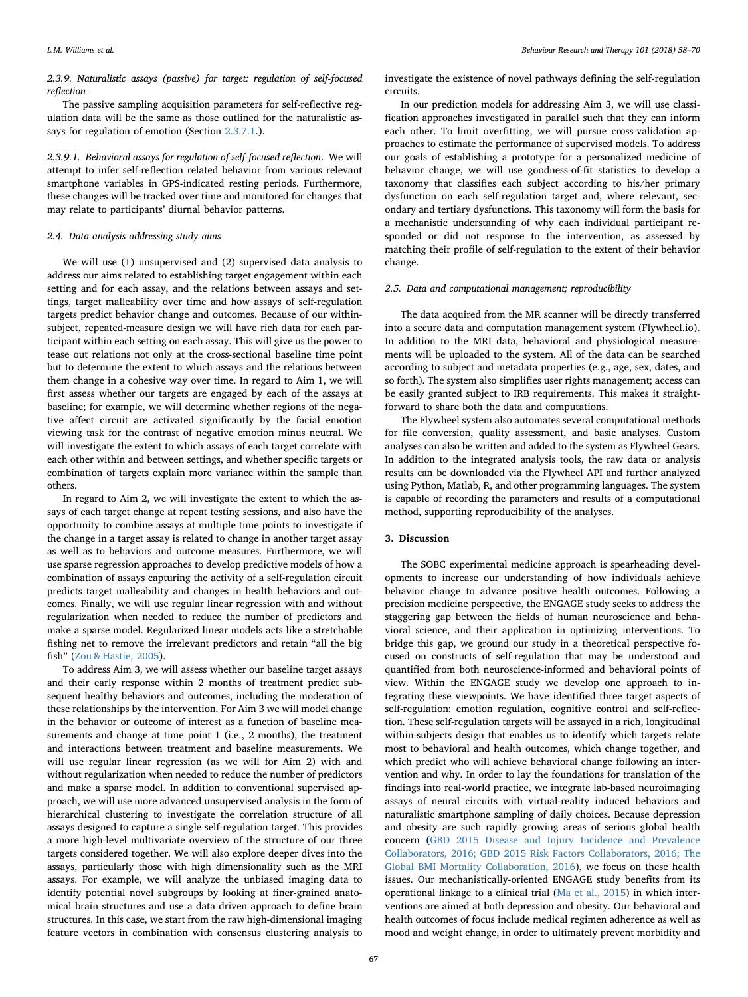2.3.9. Naturalistic assays (passive) for target: regulation of self-focused reflection

The passive sampling acquisition parameters for self-reflective regulation data will be the same as those outlined for the naturalistic assays for regulation of emotion (Section [2.3.7.1.](#page-8-0)).

2.3.9.1. Behavioral assays for regulation of self-focused reflection. We will attempt to infer self-reflection related behavior from various relevant smartphone variables in GPS-indicated resting periods. Furthermore, these changes will be tracked over time and monitored for changes that may relate to participants' diurnal behavior patterns.

# 2.4. Data analysis addressing study aims

We will use (1) unsupervised and (2) supervised data analysis to address our aims related to establishing target engagement within each setting and for each assay, and the relations between assays and settings, target malleability over time and how assays of self-regulation targets predict behavior change and outcomes. Because of our withinsubject, repeated-measure design we will have rich data for each participant within each setting on each assay. This will give us the power to tease out relations not only at the cross-sectional baseline time point but to determine the extent to which assays and the relations between them change in a cohesive way over time. In regard to Aim 1, we will first assess whether our targets are engaged by each of the assays at baseline; for example, we will determine whether regions of the negative affect circuit are activated significantly by the facial emotion viewing task for the contrast of negative emotion minus neutral. We will investigate the extent to which assays of each target correlate with each other within and between settings, and whether specific targets or combination of targets explain more variance within the sample than others.

In regard to Aim 2, we will investigate the extent to which the assays of each target change at repeat testing sessions, and also have the opportunity to combine assays at multiple time points to investigate if the change in a target assay is related to change in another target assay as well as to behaviors and outcome measures. Furthermore, we will use sparse regression approaches to develop predictive models of how a combination of assays capturing the activity of a self-regulation circuit predicts target malleability and changes in health behaviors and outcomes. Finally, we will use regular linear regression with and without regularization when needed to reduce the number of predictors and make a sparse model. Regularized linear models acts like a stretchable fishing net to remove the irrelevant predictors and retain "all the big fish" ([Zou & Hastie, 2005\)](#page-12-12).

To address Aim 3, we will assess whether our baseline target assays and their early response within 2 months of treatment predict subsequent healthy behaviors and outcomes, including the moderation of these relationships by the intervention. For Aim 3 we will model change in the behavior or outcome of interest as a function of baseline measurements and change at time point 1 (i.e., 2 months), the treatment and interactions between treatment and baseline measurements. We will use regular linear regression (as we will for Aim 2) with and without regularization when needed to reduce the number of predictors and make a sparse model. In addition to conventional supervised approach, we will use more advanced unsupervised analysis in the form of hierarchical clustering to investigate the correlation structure of all assays designed to capture a single self-regulation target. This provides a more high-level multivariate overview of the structure of our three targets considered together. We will also explore deeper dives into the assays, particularly those with high dimensionality such as the MRI assays. For example, we will analyze the unbiased imaging data to identify potential novel subgroups by looking at finer-grained anatomical brain structures and use a data driven approach to define brain structures. In this case, we start from the raw high-dimensional imaging feature vectors in combination with consensus clustering analysis to investigate the existence of novel pathways defining the self-regulation circuits.

In our prediction models for addressing Aim 3, we will use classification approaches investigated in parallel such that they can inform each other. To limit overfitting, we will pursue cross-validation approaches to estimate the performance of supervised models. To address our goals of establishing a prototype for a personalized medicine of behavior change, we will use goodness-of-fit statistics to develop a taxonomy that classifies each subject according to his/her primary dysfunction on each self-regulation target and, where relevant, secondary and tertiary dysfunctions. This taxonomy will form the basis for a mechanistic understanding of why each individual participant responded or did not response to the intervention, as assessed by matching their profile of self-regulation to the extent of their behavior change.

# 2.5. Data and computational management; reproducibility

The data acquired from the MR scanner will be directly transferred into a secure data and computation management system (Flywheel.io). In addition to the MRI data, behavioral and physiological measurements will be uploaded to the system. All of the data can be searched according to subject and metadata properties (e.g., age, sex, dates, and so forth). The system also simplifies user rights management; access can be easily granted subject to IRB requirements. This makes it straightforward to share both the data and computations.

The Flywheel system also automates several computational methods for file conversion, quality assessment, and basic analyses. Custom analyses can also be written and added to the system as Flywheel Gears. In addition to the integrated analysis tools, the raw data or analysis results can be downloaded via the Flywheel API and further analyzed using Python, Matlab, R, and other programming languages. The system is capable of recording the parameters and results of a computational method, supporting reproducibility of the analyses.

# 3. Discussion

The SOBC experimental medicine approach is spearheading developments to increase our understanding of how individuals achieve behavior change to advance positive health outcomes. Following a precision medicine perspective, the ENGAGE study seeks to address the staggering gap between the fields of human neuroscience and behavioral science, and their application in optimizing interventions. To bridge this gap, we ground our study in a theoretical perspective focused on constructs of self-regulation that may be understood and quantified from both neuroscience-informed and behavioral points of view. Within the ENGAGE study we develop one approach to integrating these viewpoints. We have identified three target aspects of self-regulation: emotion regulation, cognitive control and self-reflection. These self-regulation targets will be assayed in a rich, longitudinal within-subjects design that enables us to identify which targets relate most to behavioral and health outcomes, which change together, and which predict who will achieve behavioral change following an intervention and why. In order to lay the foundations for translation of the findings into real-world practice, we integrate lab-based neuroimaging assays of neural circuits with virtual-reality induced behaviors and naturalistic smartphone sampling of daily choices. Because depression and obesity are such rapidly growing areas of serious global health concern [\(GBD 2015 Disease and Injury Incidence and Prevalence](#page-11-0) [Collaborators, 2016; GBD 2015 Risk Factors Collaborators, 2016; The](#page-11-0) [Global BMI Mortality Collaboration, 2016](#page-11-0)), we focus on these health issues. Our mechanistically-oriented ENGAGE study benefits from its operational linkage to a clinical trial ([Ma et al., 2015\)](#page-12-2) in which interventions are aimed at both depression and obesity. Our behavioral and health outcomes of focus include medical regimen adherence as well as mood and weight change, in order to ultimately prevent morbidity and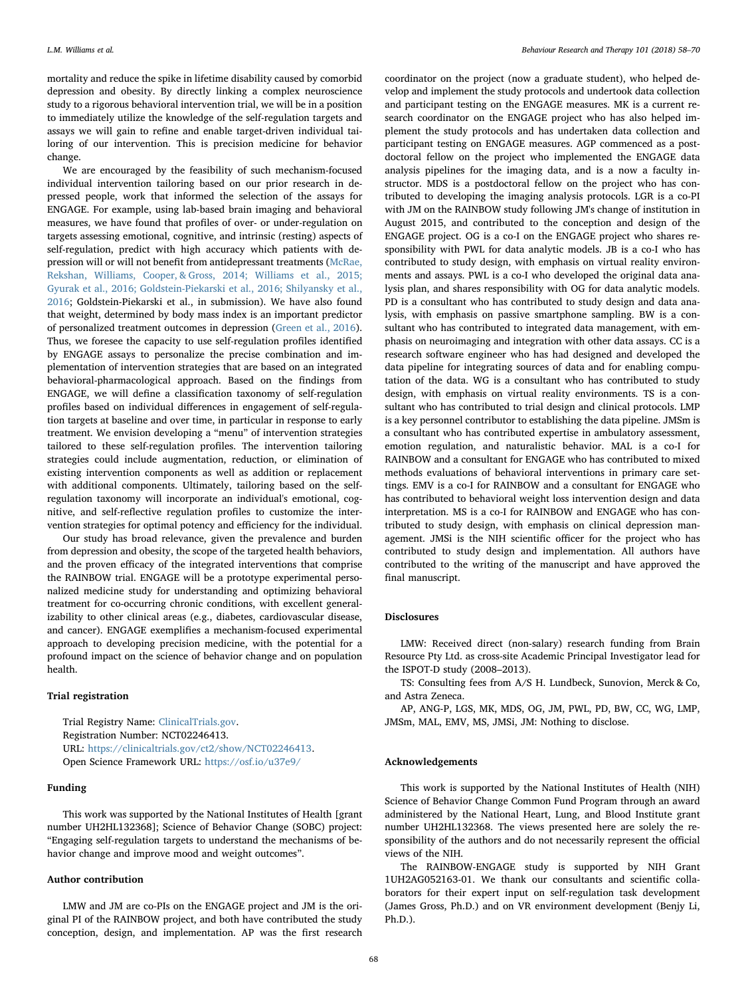mortality and reduce the spike in lifetime disability caused by comorbid depression and obesity. By directly linking a complex neuroscience study to a rigorous behavioral intervention trial, we will be in a position to immediately utilize the knowledge of the self-regulation targets and assays we will gain to refine and enable target-driven individual tailoring of our intervention. This is precision medicine for behavior change.

We are encouraged by the feasibility of such mechanism-focused individual intervention tailoring based on our prior research in depressed people, work that informed the selection of the assays for ENGAGE. For example, using lab-based brain imaging and behavioral measures, we have found that profiles of over- or under-regulation on targets assessing emotional, cognitive, and intrinsic (resting) aspects of self-regulation, predict with high accuracy which patients with depression will or will not benefit from antidepressant treatments ([McRae,](#page-12-13) [Rekshan, Williams, Cooper, & Gross, 2014; Williams et al., 2015;](#page-12-13) [Gyurak et al., 2016; Goldstein-Piekarski et al., 2016; Shilyansky et al.,](#page-12-13) [2016;](#page-12-13) Goldstein-Piekarski et al., in submission). We have also found that weight, determined by body mass index is an important predictor of personalized treatment outcomes in depression [\(Green et al., 2016](#page-11-33)). Thus, we foresee the capacity to use self-regulation profiles identified by ENGAGE assays to personalize the precise combination and implementation of intervention strategies that are based on an integrated behavioral-pharmacological approach. Based on the findings from ENGAGE, we will define a classification taxonomy of self-regulation profiles based on individual differences in engagement of self-regulation targets at baseline and over time, in particular in response to early treatment. We envision developing a "menu" of intervention strategies tailored to these self-regulation profiles. The intervention tailoring strategies could include augmentation, reduction, or elimination of existing intervention components as well as addition or replacement with additional components. Ultimately, tailoring based on the selfregulation taxonomy will incorporate an individual's emotional, cognitive, and self-reflective regulation profiles to customize the intervention strategies for optimal potency and efficiency for the individual.

Our study has broad relevance, given the prevalence and burden from depression and obesity, the scope of the targeted health behaviors, and the proven efficacy of the integrated interventions that comprise the RAINBOW trial. ENGAGE will be a prototype experimental personalized medicine study for understanding and optimizing behavioral treatment for co-occurring chronic conditions, with excellent generalizability to other clinical areas (e.g., diabetes, cardiovascular disease, and cancer). ENGAGE exemplifies a mechanism-focused experimental approach to developing precision medicine, with the potential for a profound impact on the science of behavior change and on population health.

#### Trial registration

Trial Registry Name: [ClinicalTrials.gov](http://ClinicalTrials.gov). Registration Number: NCT02246413. URL: <https://clinicaltrials.gov/ct2/show/NCT02246413>. Open Science Framework URL: <https://osf.io/u37e9/>

## Funding

This work was supported by the National Institutes of Health [grant number UH2HL132368]; Science of Behavior Change (SOBC) project: "Engaging self-regulation targets to understand the mechanisms of behavior change and improve mood and weight outcomes".

#### Author contribution

LMW and JM are co-PIs on the ENGAGE project and JM is the original PI of the RAINBOW project, and both have contributed the study conception, design, and implementation. AP was the first research

coordinator on the project (now a graduate student), who helped develop and implement the study protocols and undertook data collection and participant testing on the ENGAGE measures. MK is a current research coordinator on the ENGAGE project who has also helped implement the study protocols and has undertaken data collection and participant testing on ENGAGE measures. AGP commenced as a postdoctoral fellow on the project who implemented the ENGAGE data analysis pipelines for the imaging data, and is a now a faculty instructor. MDS is a postdoctoral fellow on the project who has contributed to developing the imaging analysis protocols. LGR is a co-PI with JM on the RAINBOW study following JM's change of institution in August 2015, and contributed to the conception and design of the ENGAGE project. OG is a co-I on the ENGAGE project who shares responsibility with PWL for data analytic models. JB is a co-I who has contributed to study design, with emphasis on virtual reality environments and assays. PWL is a co-I who developed the original data analysis plan, and shares responsibility with OG for data analytic models. PD is a consultant who has contributed to study design and data analysis, with emphasis on passive smartphone sampling. BW is a consultant who has contributed to integrated data management, with emphasis on neuroimaging and integration with other data assays. CC is a research software engineer who has had designed and developed the data pipeline for integrating sources of data and for enabling computation of the data. WG is a consultant who has contributed to study design, with emphasis on virtual reality environments. TS is a consultant who has contributed to trial design and clinical protocols. LMP is a key personnel contributor to establishing the data pipeline. JMSm is a consultant who has contributed expertise in ambulatory assessment, emotion regulation, and naturalistic behavior. MAL is a co-I for RAINBOW and a consultant for ENGAGE who has contributed to mixed methods evaluations of behavioral interventions in primary care settings. EMV is a co-I for RAINBOW and a consultant for ENGAGE who has contributed to behavioral weight loss intervention design and data interpretation. MS is a co-I for RAINBOW and ENGAGE who has contributed to study design, with emphasis on clinical depression management. JMSi is the NIH scientific officer for the project who has contributed to study design and implementation. All authors have contributed to the writing of the manuscript and have approved the final manuscript.

#### Disclosures

LMW: Received direct (non-salary) research funding from Brain Resource Pty Ltd. as cross-site Academic Principal Investigator lead for the ISPOT-D study (2008–2013).

TS: Consulting fees from A/S H. Lundbeck, Sunovion, Merck & Co, and Astra Zeneca.

AP, ANG-P, LGS, MK, MDS, OG, JM, PWL, PD, BW, CC, WG, LMP, JMSm, MAL, EMV, MS, JMSi, JM: Nothing to disclose.

#### Acknowledgements

This work is supported by the National Institutes of Health (NIH) Science of Behavior Change Common Fund Program through an award administered by the National Heart, Lung, and Blood Institute grant number UH2HL132368. The views presented here are solely the responsibility of the authors and do not necessarily represent the official views of the NIH.

The RAINBOW-ENGAGE study is supported by NIH Grant 1UH2AG052163-01. We thank our consultants and scientific collaborators for their expert input on self-regulation task development (James Gross, Ph.D.) and on VR environment development (Benjy Li, Ph.D.).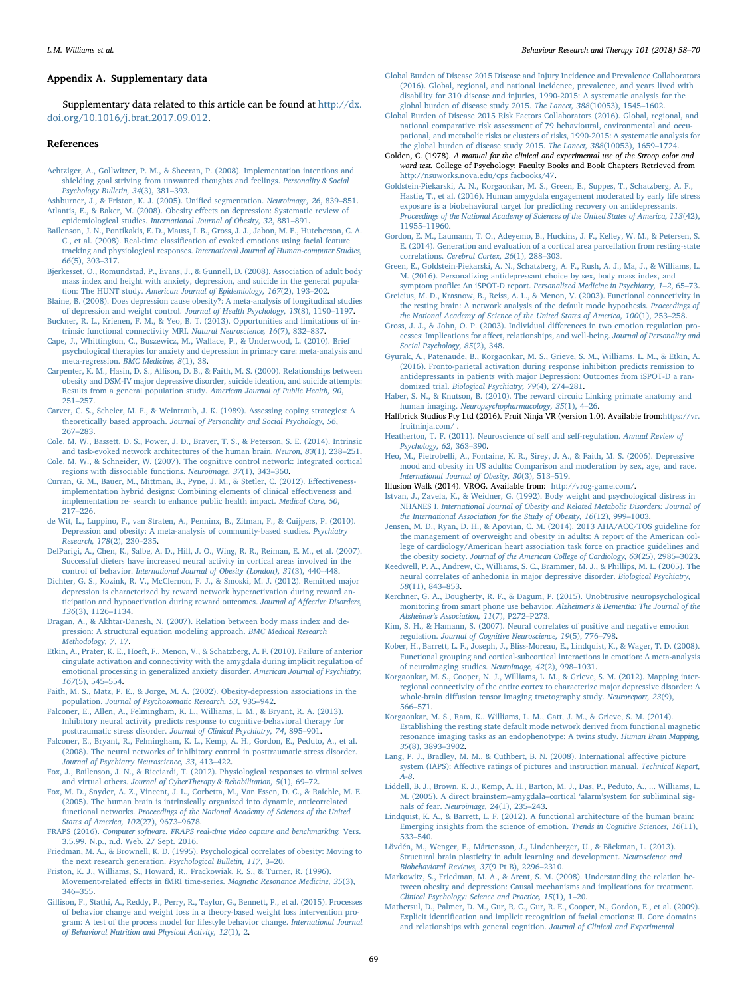#### L.M. Williams et al. *Behaviour Research and Therapy 101 (2018) 58–70*

#### Appendix A. Supplementary data

Supplementary data related to this article can be found at [http://dx.](http://dx.doi.org/10.1016/j.brat.2017.09.012) [doi.org/10.1016/j.brat.2017.09.012.](http://dx.doi.org/10.1016/j.brat.2017.09.012)

#### References

- <span id="page-11-12"></span>[Achtziger, A., Gollwitzer, P. M., & Sheeran, P. \(2008\). Implementation intentions and](http://refhub.elsevier.com/S0005-7967(17)30202-4/sref1) [shielding goal striving from unwanted thoughts and feelings.](http://refhub.elsevier.com/S0005-7967(17)30202-4/sref1) Personality & Social [Psychology Bulletin, 34](http://refhub.elsevier.com/S0005-7967(17)30202-4/sref1)(3), 381–393.
- <span id="page-11-21"></span><span id="page-11-1"></span>[Ashburner, J., & Friston, K. J. \(2005\). Uni](http://refhub.elsevier.com/S0005-7967(17)30202-4/sref2)fied segmentation. Neuroimage, 26, 839–851. [Atlantis, E., & Baker, M. \(2008\). Obesity e](http://refhub.elsevier.com/S0005-7967(17)30202-4/sref3)ffects on depression: Systematic review of
- epidemiological studies. [International Journal of Obesity, 32](http://refhub.elsevier.com/S0005-7967(17)30202-4/sref3), 881–891. [Bailenson, J. N., Pontikakis, E. D., Mauss, I. B., Gross, J. J., Jabon, M. E., Hutcherson, C. A.](http://refhub.elsevier.com/S0005-7967(17)30202-4/sref4) C., et al. (2008). Real-time classifi[cation of evoked emotions using facial feature](http://refhub.elsevier.com/S0005-7967(17)30202-4/sref4) tracking and physiological responses. [International Journal of Human-computer Studies,](http://refhub.elsevier.com/S0005-7967(17)30202-4/sref4) 66[\(5\), 303](http://refhub.elsevier.com/S0005-7967(17)30202-4/sref4)–317.
- <span id="page-11-2"></span>[Bjerkesset, O., Romundstad, P., Evans, J., & Gunnell, D. \(2008\). Association of adult body](http://refhub.elsevier.com/S0005-7967(17)30202-4/sref5) [mass index and height with anxiety, depression, and suicide in the general popula](http://refhub.elsevier.com/S0005-7967(17)30202-4/sref5)tion: The HUNT study. [American Journal of Epidemiology, 167](http://refhub.elsevier.com/S0005-7967(17)30202-4/sref5)(2), 193–202.
- <span id="page-11-3"></span>[Blaine, B. \(2008\). Does depression cause obesity?: A meta-analysis of longitudinal studies](http://refhub.elsevier.com/S0005-7967(17)30202-4/sref6) [of depression and weight control.](http://refhub.elsevier.com/S0005-7967(17)30202-4/sref6) Journal of Health Psychology, 13(8), 1190–1197.
- <span id="page-11-6"></span>[Buckner, R. L., Krienen, F. M., & Yeo, B. T. \(2013\). Opportunities and limitations of in](http://refhub.elsevier.com/S0005-7967(17)30202-4/sref7)[trinsic functional connectivity MRI.](http://refhub.elsevier.com/S0005-7967(17)30202-4/sref7) Natural Neuroscience, 16(7), 832–837.
- <span id="page-11-16"></span>[Cape, J., Whittington, C., Buszewicz, M., Wallace, P., & Underwood, L. \(2010\). Brief](http://refhub.elsevier.com/S0005-7967(17)30202-4/sref8) [psychological therapies for anxiety and depression in primary care: meta-analysis and](http://refhub.elsevier.com/S0005-7967(17)30202-4/sref8) meta-regression. [BMC Medicine, 8](http://refhub.elsevier.com/S0005-7967(17)30202-4/sref8)(1), 38.
- [Carpenter, K. M., Hasin, D. S., Allison, D. B., & Faith, M. S. \(2000\). Relationships between](http://refhub.elsevier.com/S0005-7967(17)30202-4/sref9) [obesity and DSM-IV major depressive disorder, suicide ideation, and suicide attempts:](http://refhub.elsevier.com/S0005-7967(17)30202-4/sref9) [Results from a general population study.](http://refhub.elsevier.com/S0005-7967(17)30202-4/sref9) American Journal of Public Health, 90, 251–[257](http://refhub.elsevier.com/S0005-7967(17)30202-4/sref9).
- <span id="page-11-22"></span>[Carver, C. S., Scheier, M. F., & Weintraub, J. K. \(1989\). Assessing coping strategies: A](http://refhub.elsevier.com/S0005-7967(17)30202-4/sref10) theoretically based approach. [Journal of Personality and Social Psychology, 56](http://refhub.elsevier.com/S0005-7967(17)30202-4/sref10), 267–[283](http://refhub.elsevier.com/S0005-7967(17)30202-4/sref10).
- <span id="page-11-9"></span>[Cole, M. W., Bassett, D. S., Power, J. D., Braver, T. S., & Peterson, S. E. \(2014\). Intrinsic](http://refhub.elsevier.com/S0005-7967(17)30202-4/sref11) [and task-evoked network architectures of the human brain.](http://refhub.elsevier.com/S0005-7967(17)30202-4/sref11) Neuron, 83(1), 238–251.
- <span id="page-11-8"></span>[Cole, M. W., & Schneider, W. \(2007\). The cognitive control network: Integrated cortical](http://refhub.elsevier.com/S0005-7967(17)30202-4/sref12) [regions with dissociable functions.](http://refhub.elsevier.com/S0005-7967(17)30202-4/sref12) Neuroimage, 37(1), 343–360.
- <span id="page-11-15"></span>[Curran, G. M., Bauer, M., Mittman, B., Pyne, J. M., & Stetler, C. \(2012\). E](http://refhub.elsevier.com/S0005-7967(17)30202-4/sref14)ffectiveness[implementation hybrid designs: Combining elements of clinical e](http://refhub.elsevier.com/S0005-7967(17)30202-4/sref14)ffectiveness and [implementation re- search to enhance public health impact.](http://refhub.elsevier.com/S0005-7967(17)30202-4/sref14) Medical Care, 50, 217–[226](http://refhub.elsevier.com/S0005-7967(17)30202-4/sref14).
- [de Wit, L., Luppino, F., van Straten, A., Penninx, B., Zitman, F., & Cuijpers, P. \(2010\).](http://refhub.elsevier.com/S0005-7967(17)30202-4/sref15) [Depression and obesity: A meta-analysis of community-based studies.](http://refhub.elsevier.com/S0005-7967(17)30202-4/sref15) Psychiatry [Research, 178](http://refhub.elsevier.com/S0005-7967(17)30202-4/sref15)(2), 230–235.
- [DelParigi, A., Chen, K., Salbe, A. D., Hill, J. O., Wing, R. R., Reiman, E. M., et al. \(2007\).](http://refhub.elsevier.com/S0005-7967(17)30202-4/sref16) [Successful dieters have increased neural activity in cortical areas involved in the](http://refhub.elsevier.com/S0005-7967(17)30202-4/sref16) control of behavior. [International Journal of Obesity \(London\), 31](http://refhub.elsevier.com/S0005-7967(17)30202-4/sref16)(3), 440–448.
- <span id="page-11-7"></span>[Dichter, G. S., Kozink, R. V., McClernon, F. J., & Smoski, M. J. \(2012\). Remitted major](http://refhub.elsevier.com/S0005-7967(17)30202-4/sref17) [depression is characterized by reward network hyperactivation during reward an](http://refhub.elsevier.com/S0005-7967(17)30202-4/sref17)[ticipation and hypoactivation during reward outcomes.](http://refhub.elsevier.com/S0005-7967(17)30202-4/sref17) Journal of Affective Disorders, 136[\(3\), 1126](http://refhub.elsevier.com/S0005-7967(17)30202-4/sref17)–1134.
- [Dragan, A., & Akhtar-Danesh, N. \(2007\). Relation between body mass index and de](http://refhub.elsevier.com/S0005-7967(17)30202-4/sref18)[pression: A structural equation modeling approach.](http://refhub.elsevier.com/S0005-7967(17)30202-4/sref18) BMC Medical Research [Methodology, 7](http://refhub.elsevier.com/S0005-7967(17)30202-4/sref18), 17.
- [Etkin, A., Prater, K. E., Hoeft, F., Menon, V., & Schatzberg, A. F. \(2010\). Failure of anterior](http://refhub.elsevier.com/S0005-7967(17)30202-4/sref19) [cingulate activation and connectivity with the amygdala during implicit regulation of](http://refhub.elsevier.com/S0005-7967(17)30202-4/sref19) [emotional processing in generalized anxiety disorder.](http://refhub.elsevier.com/S0005-7967(17)30202-4/sref19) American Journal of Psychiatry, 167[\(5\), 545](http://refhub.elsevier.com/S0005-7967(17)30202-4/sref19)–554.
- [Faith, M. S., Matz, P. E., & Jorge, M. A. \(2002\). Obesity-depression associations in the](http://refhub.elsevier.com/S0005-7967(17)30202-4/sref21) population. [Journal of Psychosomatic Research, 53](http://refhub.elsevier.com/S0005-7967(17)30202-4/sref21), 935–942.
- [Falconer, E., Allen, A., Felmingham, K. L., Williams, L. M., & Bryant, R. A. \(2013\).](http://refhub.elsevier.com/S0005-7967(17)30202-4/sref22) [Inhibitory neural activity predicts response to cognitive-behavioral therapy for](http://refhub.elsevier.com/S0005-7967(17)30202-4/sref22) posttraumatic stress disorder. [Journal of Clinical Psychiatry, 74](http://refhub.elsevier.com/S0005-7967(17)30202-4/sref22), 895–901.
- [Falconer, E., Bryant, R., Felmingham, K. L., Kemp, A. H., Gordon, E., Peduto, A., et al.](http://refhub.elsevier.com/S0005-7967(17)30202-4/sref23) [\(2008\). The neural networks of inhibitory control in posttraumatic stress disorder.](http://refhub.elsevier.com/S0005-7967(17)30202-4/sref23) [Journal of Psychiatry Neuroscience, 33](http://refhub.elsevier.com/S0005-7967(17)30202-4/sref23), 413–422.
- [Fox, J., Bailenson, J. N., & Ricciardi, T. \(2012\). Physiological responses to virtual selves](http://refhub.elsevier.com/S0005-7967(17)30202-4/sref24) and virtual others. [Journal of CyberTherapy & Rehabilitation, 5](http://refhub.elsevier.com/S0005-7967(17)30202-4/sref24)(1), 69–72.
- [Fox, M. D., Snyder, A. Z., Vincent, J. L., Corbetta, M., Van Essen, D. C., & Raichle, M. E.](http://refhub.elsevier.com/S0005-7967(17)30202-4/sref25) [\(2005\). The human brain is intrinsically organized into dynamic, anticorrelated](http://refhub.elsevier.com/S0005-7967(17)30202-4/sref25) functional networks. [Proceedings of the National Academy of Sciences of the United](http://refhub.elsevier.com/S0005-7967(17)30202-4/sref25) [States of America, 102](http://refhub.elsevier.com/S0005-7967(17)30202-4/sref25)(27), 9673–9678.
- <span id="page-11-29"></span>FRAPS (2016). [Computer software. FRAPS real-time video capture and benchmarking.](http://refhub.elsevier.com/S0005-7967(17)30202-4/sref26) Vers. [3.5.99. N.p., n.d. Web. 27 Sept. 2016](http://refhub.elsevier.com/S0005-7967(17)30202-4/sref26).
- [Friedman, M. A., & Brownell, K. D. \(1995\). Psychological correlates of obesity: Moving to](http://refhub.elsevier.com/S0005-7967(17)30202-4/sref27) [the next research generation.](http://refhub.elsevier.com/S0005-7967(17)30202-4/sref27) Psychological Bulletin, 117, 3–20.
- <span id="page-11-27"></span>[Friston, K. J., Williams, S., Howard, R., Frackowiak, R. S., & Turner, R. \(1996\).](http://refhub.elsevier.com/S0005-7967(17)30202-4/sref28) Movement-related effects in fMRI time-series. [Magnetic Resonance Medicine, 35](http://refhub.elsevier.com/S0005-7967(17)30202-4/sref28)(3), 346–[355](http://refhub.elsevier.com/S0005-7967(17)30202-4/sref28).
- <span id="page-11-13"></span>Gillison, [F., Stathi, A., Reddy, P., Perry, R., Taylor, G., Bennett, P., et al. \(2015\). Processes](http://refhub.elsevier.com/S0005-7967(17)30202-4/sref30) [of behavior change and weight loss in a theory-based weight loss intervention pro](http://refhub.elsevier.com/S0005-7967(17)30202-4/sref30)[gram: A test of the process model for lifestyle behavior change.](http://refhub.elsevier.com/S0005-7967(17)30202-4/sref30) International Journal [of Behavioral Nutrition and Physical Activity, 12](http://refhub.elsevier.com/S0005-7967(17)30202-4/sref30)(1), 2.
- <span id="page-11-0"></span>[Global Burden of Disease 2015 Disease and Injury Incidence and Prevalence Collaborators](http://refhub.elsevier.com/S0005-7967(17)30202-4/sref31) [\(2016\). Global, regional, and national incidence, prevalence, and years lived with](http://refhub.elsevier.com/S0005-7967(17)30202-4/sref31) [disability for 310 disease and injuries, 1990-2015: A systematic analysis for the](http://refhub.elsevier.com/S0005-7967(17)30202-4/sref31) [global burden of disease study 2015.](http://refhub.elsevier.com/S0005-7967(17)30202-4/sref31) The Lancet, 388(10053), 1545–1602.
- [Global Burden of Disease 2015 Risk Factors Collaborators \(2016\). Global, regional, and](http://refhub.elsevier.com/S0005-7967(17)30202-4/sref32) national comparative risk assessment of 79 behavioural, environmental and occu [pational, and metabolic risks or clusters of risks, 1990-2015: A systematic analysis for](http://refhub.elsevier.com/S0005-7967(17)30202-4/sref32) [the global burden of disease study 2015.](http://refhub.elsevier.com/S0005-7967(17)30202-4/sref32) The Lancet, 388(10053), 1659–1724.
- <span id="page-11-25"></span>Golden, C. (1978). A manual for the clinical and experimental use of the Stroop color and word test. College of Psychology: Faculty Books and Book Chapters Retrieved from [http://nsuworks.nova.edu/cps\\_facbooks/47.](http://nsuworks.nova.edu/cps_facbooks/47)
- <span id="page-11-18"></span>[Goldstein-Piekarski, A. N., Korgaonkar, M. S., Green, E., Suppes, T., Schatzberg, A. F.,](http://refhub.elsevier.com/S0005-7967(17)30202-4/sref34) [Hastie, T., et al. \(2016\). Human amygdala engagement moderated by early life stress](http://refhub.elsevier.com/S0005-7967(17)30202-4/sref34) [exposure is a biobehavioral target for predicting recovery on antidepressants.](http://refhub.elsevier.com/S0005-7967(17)30202-4/sref34) [Proceedings of the National Academy of Sciences of the United States of America, 113](http://refhub.elsevier.com/S0005-7967(17)30202-4/sref34)(42), 11955–[11960.](http://refhub.elsevier.com/S0005-7967(17)30202-4/sref34)
- [Gordon, E. M., Laumann, T. O., Adeyemo, B., Huckins, J. F., Kelley, W. M., & Petersen, S.](http://refhub.elsevier.com/S0005-7967(17)30202-4/sref35) [E. \(2014\). Generation and evaluation of a cortical area parcellation from resting-state](http://refhub.elsevier.com/S0005-7967(17)30202-4/sref35) correlations. [Cerebral Cortex, 26](http://refhub.elsevier.com/S0005-7967(17)30202-4/sref35)(1), 288–303.
- <span id="page-11-33"></span>[Green, E., Goldstein-Piekarski, A. N., Schatzberg, A. F., Rush, A. J., Ma, J., & Williams, L.](http://refhub.elsevier.com/S0005-7967(17)30202-4/sref36) [M. \(2016\). Personalizing antidepressant choice by sex, body mass index, and](http://refhub.elsevier.com/S0005-7967(17)30202-4/sref36) symptom profile: An iSPOT-D report. [Personalized Medicine in Psychiatry, 1](http://refhub.elsevier.com/S0005-7967(17)30202-4/sref36)–2, 65–73.
- <span id="page-11-28"></span>[Greicius, M. D., Krasnow, B., Reiss, A. L., & Menon, V. \(2003\). Functional connectivity in](http://refhub.elsevier.com/S0005-7967(17)30202-4/sref37) [the resting brain: A network analysis of the default mode hypothesis.](http://refhub.elsevier.com/S0005-7967(17)30202-4/sref37) Proceedings of [the National Academy of Science of the United States of America, 100](http://refhub.elsevier.com/S0005-7967(17)30202-4/sref37)(1), 253–258.
- <span id="page-11-17"></span>[Gross, J. J., & John, O. P. \(2003\). Individual di](http://refhub.elsevier.com/S0005-7967(17)30202-4/sref38)fferences in two emotion regulation processes: Implications for aff[ect, relationships, and well-being.](http://refhub.elsevier.com/S0005-7967(17)30202-4/sref38) Journal of Personality and [Social Psychology, 85](http://refhub.elsevier.com/S0005-7967(17)30202-4/sref38)(2), 348.
- <span id="page-11-10"></span>[Gyurak, A., Patenaude, B., Korgaonkar, M. S., Grieve, S. M., Williams, L. M., & Etkin, A.](http://refhub.elsevier.com/S0005-7967(17)30202-4/sref39) [\(2016\). Fronto-parietal activation during response inhibition predicts remission to](http://refhub.elsevier.com/S0005-7967(17)30202-4/sref39) [antidepressants in patients with major Depression: Outcomes from iSPOT-D a ran](http://refhub.elsevier.com/S0005-7967(17)30202-4/sref39)domized trial. [Biological Psychiatry, 79](http://refhub.elsevier.com/S0005-7967(17)30202-4/sref39)(4), 274–281.
- [Haber, S. N., & Knutson, B. \(2010\). The reward circuit: Linking primate anatomy and](http://refhub.elsevier.com/S0005-7967(17)30202-4/sref40) human imaging. [Neuropsychopharmacology, 35](http://refhub.elsevier.com/S0005-7967(17)30202-4/sref40)(1), 4–26.
- <span id="page-11-31"></span>Halfbrick Studios Pty Ltd (2016). Fruit Ninja VR (version 1.0). Available from:[https://vr.](https://vr.fruitninja.com/) [fruitninja.com/](https://vr.fruitninja.com/) .
- <span id="page-11-11"></span>Heatherton, [T. F. \(2011\). Neuroscience of self and self-regulation.](http://refhub.elsevier.com/S0005-7967(17)30202-4/sref42) Annual Review of [Psychology, 62](http://refhub.elsevier.com/S0005-7967(17)30202-4/sref42), 363–390.
- [Heo, M., Pietrobelli, A., Fontaine, K. R., Sirey, J. A., & Faith, M. S. \(2006\). Depressive](http://refhub.elsevier.com/S0005-7967(17)30202-4/sref43) [mood and obesity in US adults: Comparison and moderation by sex, age, and race.](http://refhub.elsevier.com/S0005-7967(17)30202-4/sref43) [International Journal of Obesity, 30](http://refhub.elsevier.com/S0005-7967(17)30202-4/sref43)(3), 513–519.
- <span id="page-11-30"></span>Illusion Walk (2014). VROG. Available from: <http://vrog-game.com/>.
- [Istvan, J., Zavela, K., & Weidner, G. \(1992\). Body weight and psychological distress in](http://refhub.elsevier.com/S0005-7967(17)30202-4/sref46) NHANES I. [International Journal of Obesity and Related Metabolic Disorders: Journal of](http://refhub.elsevier.com/S0005-7967(17)30202-4/sref46) [the International Association for the Study of Obesity, 16](http://refhub.elsevier.com/S0005-7967(17)30202-4/sref46)(12), 999–1003.
- <span id="page-11-14"></span>[Jensen, M. D., Ryan, D. H., & Apovian, C. M. \(2014\). 2013 AHA/ACC/TOS guideline for](http://refhub.elsevier.com/S0005-7967(17)30202-4/sref47) [the management of overweight and obesity in adults: A report of the American col](http://refhub.elsevier.com/S0005-7967(17)30202-4/sref47)[lege of cardiology/American heart association task force on practice guidelines and](http://refhub.elsevier.com/S0005-7967(17)30202-4/sref47) the obesity society. [Journal of the American College of Cardiology, 63](http://refhub.elsevier.com/S0005-7967(17)30202-4/sref47)(25), 2985–3023.
- [Keedwell, P. A., Andrew, C., Williams, S. C., Brammer, M. J., & Phillips, M. L. \(2005\). The](http://refhub.elsevier.com/S0005-7967(17)30202-4/sref48) [neural correlates of anhedonia in major depressive disorder.](http://refhub.elsevier.com/S0005-7967(17)30202-4/sref48) Biological Psychiatry, 58[\(11\), 843](http://refhub.elsevier.com/S0005-7967(17)30202-4/sref48)–853.
- <span id="page-11-32"></span>[Kerchner, G. A., Dougherty, R. F., & Dagum, P. \(2015\). Unobtrusive neuropsychological](http://refhub.elsevier.com/S0005-7967(17)30202-4/sref49) [monitoring from smart phone use behavior.](http://refhub.elsevier.com/S0005-7967(17)30202-4/sref49) Alzheimer's & Dementia: The Journal of the [Alzheimer's Association, 11](http://refhub.elsevier.com/S0005-7967(17)30202-4/sref49)(7), P272–P273.
- <span id="page-11-19"></span>[Kim, S. H., & Hamann, S. \(2007\). Neural correlates of positive and negative emotion](http://refhub.elsevier.com/S0005-7967(17)30202-4/sref50) regulation. [Journal of Cognitive Neuroscience, 19](http://refhub.elsevier.com/S0005-7967(17)30202-4/sref50)(5), 776–798.
- [Kober, H., Barrett, L. F., Joseph, J., Bliss-Moreau, E., Lindquist, K., & Wager, T. D. \(2008\).](http://refhub.elsevier.com/S0005-7967(17)30202-4/sref51) [Functional grouping and cortical-subcortical interactions in emotion: A meta-analysis](http://refhub.elsevier.com/S0005-7967(17)30202-4/sref51) [of neuroimaging studies.](http://refhub.elsevier.com/S0005-7967(17)30202-4/sref51) Neuroimage, 42(2), 998–1031.
- <span id="page-11-23"></span>[Korgaonkar, M. S., Cooper, N. J., Williams, L. M., & Grieve, S. M. \(2012\). Mapping inter](http://refhub.elsevier.com/S0005-7967(17)30202-4/sref52)[regional connectivity of the entire cortex to characterize major depressive disorder: A](http://refhub.elsevier.com/S0005-7967(17)30202-4/sref52) whole-brain diff[usion tensor imaging tractography study.](http://refhub.elsevier.com/S0005-7967(17)30202-4/sref52) Neuroreport, 23(9), 566–[571](http://refhub.elsevier.com/S0005-7967(17)30202-4/sref52).
- <span id="page-11-26"></span>[Korgaonkar, M. S., Ram, K., Williams, L. M., Gatt, J. M., & Grieve, S. M. \(2014\).](http://refhub.elsevier.com/S0005-7967(17)30202-4/sref53) [Establishing the resting state default mode network derived from functional magnetic](http://refhub.elsevier.com/S0005-7967(17)30202-4/sref53) [resonance imaging tasks as an endophenotype: A twins study.](http://refhub.elsevier.com/S0005-7967(17)30202-4/sref53) Human Brain Mapping, 35[\(8\), 3893](http://refhub.elsevier.com/S0005-7967(17)30202-4/sref53)–3902.
- <span id="page-11-20"></span>[Lang, P. J., Bradley, M. M., & Cuthbert, B. N. \(2008\). International a](http://refhub.elsevier.com/S0005-7967(17)30202-4/sref54)ffective picture system (IAPS): Aff[ective ratings of pictures and instruction manual.](http://refhub.elsevier.com/S0005-7967(17)30202-4/sref54) Technical Report, [A-8](http://refhub.elsevier.com/S0005-7967(17)30202-4/sref54).
- [Liddell, B. J., Brown, K. J., Kemp, A. H., Barton, M. J., Das, P., Peduto, A., ... Williams, L.](http://refhub.elsevier.com/S0005-7967(17)30202-4/sref55) [M. \(2005\). A direct brainstem](http://refhub.elsevier.com/S0005-7967(17)30202-4/sref55)–amygdala–cortical 'alarm'system for subliminal signals of fear. [Neuroimage, 24](http://refhub.elsevier.com/S0005-7967(17)30202-4/sref55)(1), 235–243.
- <span id="page-11-5"></span>[Lindquist, K. A., & Barrett, L. F. \(2012\). A functional architecture of the human brain:](http://refhub.elsevier.com/S0005-7967(17)30202-4/sref56) [Emerging insights from the science of emotion.](http://refhub.elsevier.com/S0005-7967(17)30202-4/sref56) Trends in Cognitive Sciences, 16(11), 533–[540](http://refhub.elsevier.com/S0005-7967(17)30202-4/sref56).
- <span id="page-11-4"></span>[Lövdén, M., Wenger, E., Mårtensson, J., Lindenberger, U., & Bäckman, L. \(2013\).](http://refhub.elsevier.com/S0005-7967(17)30202-4/sref57) [Structural brain plasticity in adult learning and development.](http://refhub.elsevier.com/S0005-7967(17)30202-4/sref57) Neuroscience and [Biobehavioral Reviews, 37](http://refhub.elsevier.com/S0005-7967(17)30202-4/sref57)(9 Pt B), 2296–2310.
- [Markowitz, S., Friedman, M. A., & Arent, S. M. \(2008\). Understanding the relation be](http://refhub.elsevier.com/S0005-7967(17)30202-4/sref58)[tween obesity and depression: Causal mechanisms and implications for treatment.](http://refhub.elsevier.com/S0005-7967(17)30202-4/sref58) [Clinical Psychology: Science and Practice, 15](http://refhub.elsevier.com/S0005-7967(17)30202-4/sref58)(1), 1–20.
- <span id="page-11-24"></span>[Mathersul, D., Palmer, D. M., Gur, R. C., Gur, R. E., Cooper, N., Gordon, E., et al. \(2009\).](http://refhub.elsevier.com/S0005-7967(17)30202-4/sref59) Explicit identifi[cation and implicit recognition of facial emotions: II. Core domains](http://refhub.elsevier.com/S0005-7967(17)30202-4/sref59) [and relationships with general cognition.](http://refhub.elsevier.com/S0005-7967(17)30202-4/sref59) Journal of Clinical and Experimental